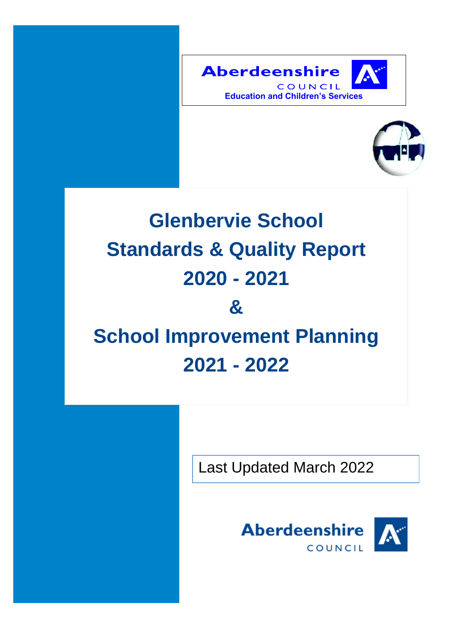



# **Glenbervie School Standards & Quality Report 2020 - 2021**

## **& School Improvement Planning 2021 - 2022**

Last Updated March 2022

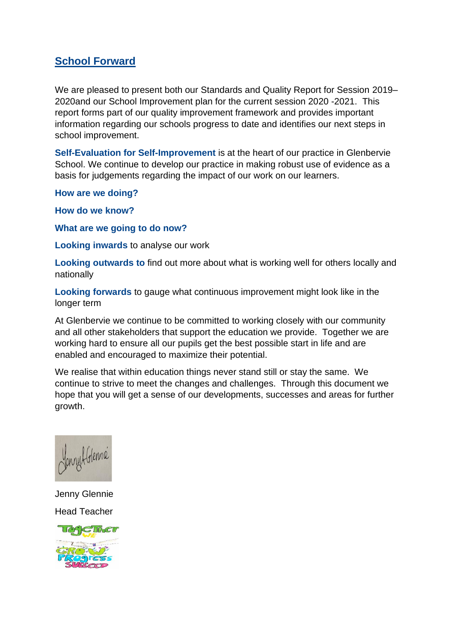## **School Forward**

We are pleased to present both our Standards and Quality Report for Session 2019– 2020and our School Improvement plan for the current session 2020 -2021. This report forms part of our quality improvement framework and provides important information regarding our schools progress to date and identifies our next steps in school improvement.

**Self-Evaluation for Self-Improvement** is at the heart of our practice in Glenbervie School. We continue to develop our practice in making robust use of evidence as a basis for judgements regarding the impact of our work on our learners.

**How are we doing?** 

**How do we know?**

**What are we going to do now?**

**Looking inwards** to analyse our work

**Looking outwards to** find out more about what is working well for others locally and nationally

**Looking forwards** to gauge what continuous improvement might look like in the longer term

At Glenbervie we continue to be committed to working closely with our community and all other stakeholders that support the education we provide. Together we are working hard to ensure all our pupils get the best possible start in life and are enabled and encouraged to maximize their potential.

We realise that within education things never stand still or stay the same. We continue to strive to meet the changes and challenges. Through this document we hope that you will get a sense of our developments, successes and areas for further growth.



Jenny Glennie Head Teacher

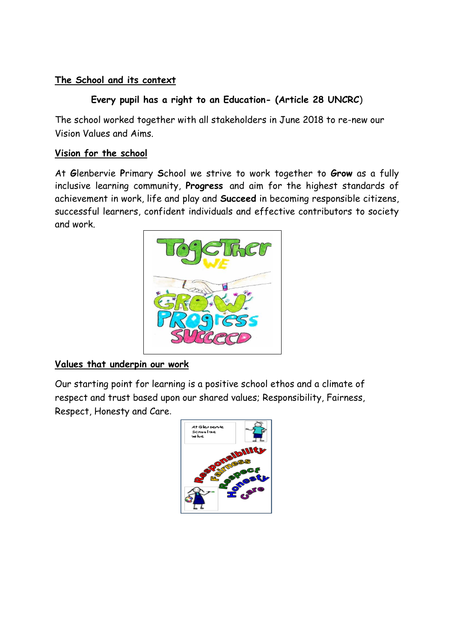## **The School and its context**

## **Every pupil has a right to an Education- (Article 28 UNCRC**)

The school worked together with all stakeholders in June 2018 to re-new our Vision Values and Aims.

#### **Vision for the school**

At **G**lenbervie **P**rimary **S**chool we strive to work together to **Grow** as a fully inclusive learning community, **Progress** and aim for the highest standards of achievement in work, life and play and **Succeed** in becoming responsible citizens, successful learners, confident individuals and effective contributors to society and work.



### **Values that underpin our work**

Our starting point for learning is a positive school ethos and a climate of respect and trust based upon our shared values; Responsibility, Fairness, Respect, Honesty and Care.

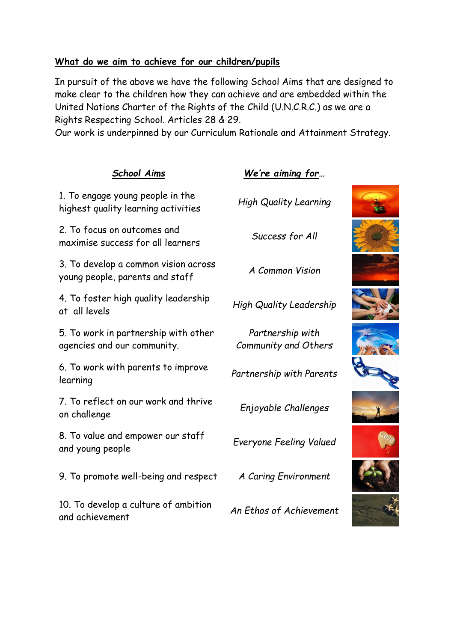#### **What do we aim to achieve for our children/pupils**

In pursuit of the above we have the following School Aims that are designed to make clear to the children how they can achieve and are embedded within the United Nations Charter of the Rights of the Child (U.N.C.R.C.) as we are a Rights Respecting School. Articles 28 & 29.

Our work is underpinned by our Curriculum Rationale and Attainment Strategy.

| <b>School Aims</b>                                                      | We're aiming for                         |  |
|-------------------------------------------------------------------------|------------------------------------------|--|
| 1. To engage young people in the<br>highest quality learning activities | <b>High Quality Learning</b>             |  |
| 2. To focus on outcomes and<br>maximise success for all learners        | Success for All                          |  |
| 3. To develop a common vision across<br>young people, parents and staff | A Common Vision                          |  |
| 4. To foster high quality leadership<br>at all levels                   | <b>High Quality Leadership</b>           |  |
| 5. To work in partnership with other<br>agencies and our community.     | Partnership with<br>Community and Others |  |
| 6. To work with parents to improve<br>learning                          | Partnership with Parents                 |  |
| 7. To reflect on our work and thrive<br>on challenge                    | Enjoyable Challenges                     |  |
| 8. To value and empower our staff<br>and young people                   | Everyone Feeling Valued                  |  |
| 9. To promote well-being and respect                                    | A Caring Environment                     |  |
| 10. To develop a culture of ambition<br>and achievement                 | An Ethos of Achievement                  |  |
|                                                                         |                                          |  |











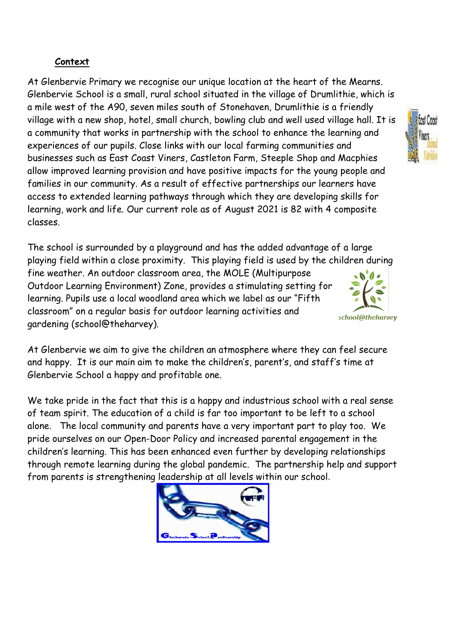#### **Context**

At Glenbervie Primary we recognise our unique location at the heart of the Mearns. Glenbervie School is a small, rural school situated in the village of Drumlithie, which is a mile west of the A90, seven miles south of Stonehaven, Drumlithie is a friendly village with a new shop, hotel, small church, bowling club and well used village hall. It is a community that works in partnership with the school to enhance the learning and experiences of our pupils. Close links with our local farming communities and businesses such as East Coast Viners, Castleton Farm, Steeple Shop and Macphies allow improved learning provision and have positive impacts for the young people and families in our community. As a result of effective partnerships our learners have access to extended learning pathways through which they are developing skills for learning, work and life. Our current role as of August 2021 is 82 with 4 composite classes.

The school is surrounded by a playground and has the added advantage of a large playing field within a close proximity. This playing field is used by the children during fine weather. An outdoor classroom area, the MOLE (Multipurpose Outdoor Learning Environment) Zone, provides a stimulating setting for learning. Pupils use a local woodland area which we label as our "Fifth classroom" on a regular basis for outdoor learning activities and gardening (school@theharvey).

At Glenbervie we aim to give the children an atmosphere where they can feel secure and happy. It is our main aim to make the children's, parent's, and staff's time at Glenbervie School a happy and profitable one.

We take pride in the fact that this is a happy and industrious school with a real sense of team spirit. The education of a child is far too important to be left to a school alone. The local community and parents have a very important part to play too. We pride ourselves on our Open-Door Policy and increased parental engagement in the children's learning. This has been enhanced even further by developing relationships through remote learning during the global pandemic. The partnership help and support from parents is strengthening leadership at all levels within our school.





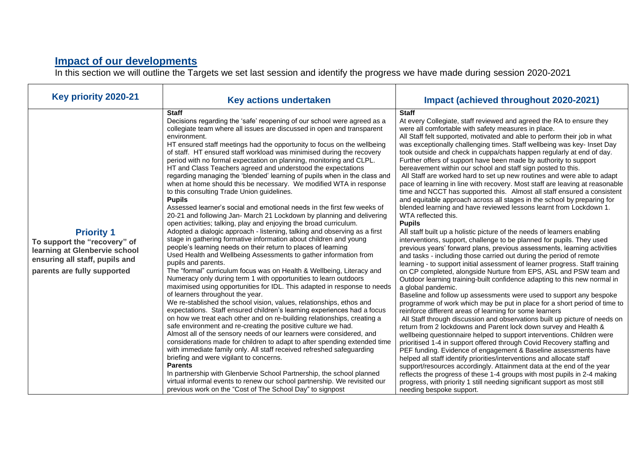#### **Impact of our developments**

In this section we will outline the Targets we set last session and identify the progress we have made during session 2020-2021

| Key priority 2020-21                                                                                                                                | <b>Key actions undertaken</b>                                                                                                                                                                                                                                                                                                                                                                                                                                                                                                                                                                                                                                                                                                                                                                                                                                                                                                                                                                                                                                                                                                                                                                                                                                                                                                                                                                                                                                                                                                                                                                                                                                                                                                                                                                                                                                                                                                                                                                                                                                                                                                                                                                                                                                                                                   | Impact (achieved throughout 2020-2021)                                                                                                                                                                                                                                                                                                                                                                                                                                                                                                                                                                                                                                                                                                                                                                                                                                                                                                                                                                                                                                                                                                                                                                                                                                                                                                                                                                                                                                                                                                                                                                                                                                                                                                                                                                                                                                                                                                                                                                                                                                                                                                                                                                                                                                                                                                                                                                                                        |
|-----------------------------------------------------------------------------------------------------------------------------------------------------|-----------------------------------------------------------------------------------------------------------------------------------------------------------------------------------------------------------------------------------------------------------------------------------------------------------------------------------------------------------------------------------------------------------------------------------------------------------------------------------------------------------------------------------------------------------------------------------------------------------------------------------------------------------------------------------------------------------------------------------------------------------------------------------------------------------------------------------------------------------------------------------------------------------------------------------------------------------------------------------------------------------------------------------------------------------------------------------------------------------------------------------------------------------------------------------------------------------------------------------------------------------------------------------------------------------------------------------------------------------------------------------------------------------------------------------------------------------------------------------------------------------------------------------------------------------------------------------------------------------------------------------------------------------------------------------------------------------------------------------------------------------------------------------------------------------------------------------------------------------------------------------------------------------------------------------------------------------------------------------------------------------------------------------------------------------------------------------------------------------------------------------------------------------------------------------------------------------------------------------------------------------------------------------------------------------------|-----------------------------------------------------------------------------------------------------------------------------------------------------------------------------------------------------------------------------------------------------------------------------------------------------------------------------------------------------------------------------------------------------------------------------------------------------------------------------------------------------------------------------------------------------------------------------------------------------------------------------------------------------------------------------------------------------------------------------------------------------------------------------------------------------------------------------------------------------------------------------------------------------------------------------------------------------------------------------------------------------------------------------------------------------------------------------------------------------------------------------------------------------------------------------------------------------------------------------------------------------------------------------------------------------------------------------------------------------------------------------------------------------------------------------------------------------------------------------------------------------------------------------------------------------------------------------------------------------------------------------------------------------------------------------------------------------------------------------------------------------------------------------------------------------------------------------------------------------------------------------------------------------------------------------------------------------------------------------------------------------------------------------------------------------------------------------------------------------------------------------------------------------------------------------------------------------------------------------------------------------------------------------------------------------------------------------------------------------------------------------------------------------------------------------------------------|
| <b>Priority 1</b><br>To support the "recovery" of<br>learning at Glenbervie school<br>ensuring all staff, pupils and<br>parents are fully supported | <b>Staff</b><br>Decisions regarding the 'safe' reopening of our school were agreed as a<br>collegiate team where all issues are discussed in open and transparent<br>environment.<br>HT ensured staff meetings had the opportunity to focus on the wellbeing<br>of staff. HT ensured staff workload was minimised during the recovery<br>period with no formal expectation on planning, monitoring and CLPL.<br>HT and Class Teachers agreed and understood the expectations<br>regarding managing the 'blended' learning of pupils when in the class and<br>when at home should this be necessary. We modified WTA in response<br>to this consulting Trade Union guidelines.<br><b>Pupils</b><br>Assessed learner's social and emotional needs in the first few weeks of<br>20-21 and following Jan- March 21 Lockdown by planning and delivering<br>open activities; talking, play and enjoying the broad curriculum.<br>Adopted a dialogic approach - listening, talking and observing as a first<br>stage in gathering formative information about children and young<br>people's learning needs on their return to places of learning<br>Used Health and Wellbeing Assessments to gather information from<br>pupils and parents.<br>The "formal" curriculum focus was on Health & Wellbeing, Literacy and<br>Numeracy only during term 1 with opportunities to learn outdoors<br>maximised using opportunities for IDL. This adapted in response to needs<br>of learners throughout the year.<br>We re-stablished the school vision, values, relationships, ethos and<br>expectations. Staff ensured children's learning experiences had a focus<br>on how we treat each other and on re-building relationships, creating a<br>safe environment and re-creating the positive culture we had.<br>Almost all of the sensory needs of our learners were considered, and<br>considerations made for children to adapt to after spending extended time<br>with immediate family only. All staff received refreshed safeguarding<br>briefing and were vigilant to concerns.<br><b>Parents</b><br>In partnership with Glenbervie School Partnership, the school planned<br>virtual informal events to renew our school partnership. We revisited our<br>previous work on the "Cost of The School Day" to signpost | <b>Staff</b><br>At every Collegiate, staff reviewed and agreed the RA to ensure they<br>were all comfortable with safety measures in place.<br>All Staff felt supported, motivated and able to perform their job in what<br>was exceptionally challenging times. Staff wellbeing was key- Inset Day<br>took outside and check in cuppa/chats happen regularly at end of day.<br>Further offers of support have been made by authority to support<br>bereavement within our school and staff sign posted to this.<br>All Staff are worked hard to set up new routines and were able to adapt<br>pace of learning in line with recovery. Most staff are leaving at reasonable<br>time and NCCT has supported this. Almost all staff ensured a consistent<br>and equitable approach across all stages in the school by preparing for<br>blended learning and have reviewed lessons learnt from Lockdown 1.<br>WTA reflected this.<br><b>Pupils</b><br>All staff built up a holistic picture of the needs of learners enabling<br>interventions, support, challenge to be planned for pupils. They used<br>previous years' forward plans, previous assessments, learning activities<br>and tasks - including those carried out during the period of remote<br>learning - to support initial assessment of learner progress. Staff training<br>on CP completed, alongside Nurture from EPS, ASL and PSW team and<br>Outdoor learning training-built confidence adapting to this new normal in<br>a global pandemic.<br>Baseline and follow up assessments were used to support any bespoke<br>programme of work which may be put in place for a short period of time to<br>reinforce different areas of learning for some learners<br>All Staff through discussion and observations built up picture of needs on<br>return from 2 lockdowns and Parent lock down survey and Health &<br>wellbeing questionnaire helped to support interventions. Children were<br>prioritised 1-4 in support offered through Covid Recovery staffing and<br>PEF funding. Evidence of engagement & Baseline assessments have<br>helped all staff identify priorities/interventions and allocate staff<br>support/resources accordingly. Attainment data at the end of the year<br>reflects the progress of these 1-4 groups with most pupils in 2-4 making<br>progress, with priority 1 still needing significant support as most still<br>needing bespoke support. |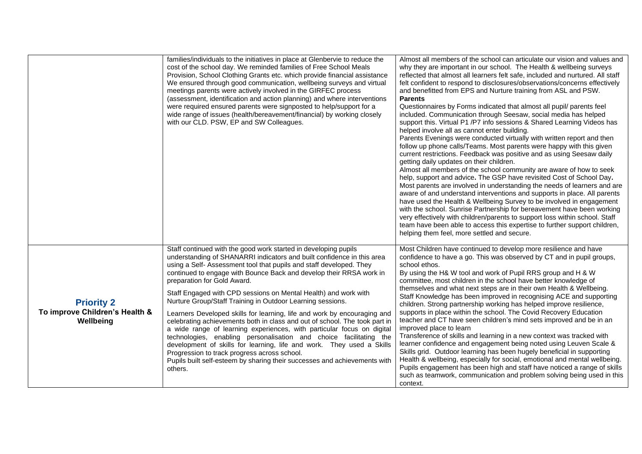|                                                                  | families/individuals to the initiatives in place at Glenbervie to reduce the<br>cost of the school day. We reminded families of Free School Meals<br>Provision, School Clothing Grants etc. which provide financial assistance<br>We ensured through good communication, wellbeing surveys and virtual<br>meetings parents were actively involved in the GIRFEC process<br>(assessment, identification and action planning) and where interventions<br>were required ensured parents were signposted to help/support for a<br>wide range of issues (health/bereavement/financial) by working closely<br>with our CLD. PSW, EP and SW Colleagues.                                                                                                                                                                                                                                                                                                                        | Almost all members of the school can articulate our vision and values and<br>why they are important in our school. The Health & wellbeing surveys<br>reflected that almost all learners felt safe, included and nurtured. All staff<br>felt confident to respond to disclosures/observations/concerns effectively<br>and benefitted from EPS and Nurture training from ASL and PSW.<br><b>Parents</b><br>Questionnaires by Forms indicated that almost all pupil/ parents feel<br>included. Communication through Seesaw, social media has helped<br>support this. Virtual P1 /P7 info sessions & Shared Learning Videos has<br>helped involve all as cannot enter building.<br>Parents Evenings were conducted virtually with written report and then<br>follow up phone calls/Teams. Most parents were happy with this given<br>current restrictions. Feedback was positive and as using Seesaw daily<br>getting daily updates on their children.<br>Almost all members of the school community are aware of how to seek<br>help, support and advice. The GSP have revisited Cost of School Day.<br>Most parents are involved in understanding the needs of learners and are<br>aware of and understand interventions and supports in place. All parents<br>have used the Health & Wellbeing Survey to be involved in engagement<br>with the school. Sunrise Partnership for bereavement have been working<br>very effectively with children/parents to support loss within school. Staff<br>team have been able to access this expertise to further support children,<br>helping them feel, more settled and secure. |
|------------------------------------------------------------------|-------------------------------------------------------------------------------------------------------------------------------------------------------------------------------------------------------------------------------------------------------------------------------------------------------------------------------------------------------------------------------------------------------------------------------------------------------------------------------------------------------------------------------------------------------------------------------------------------------------------------------------------------------------------------------------------------------------------------------------------------------------------------------------------------------------------------------------------------------------------------------------------------------------------------------------------------------------------------|-------------------------------------------------------------------------------------------------------------------------------------------------------------------------------------------------------------------------------------------------------------------------------------------------------------------------------------------------------------------------------------------------------------------------------------------------------------------------------------------------------------------------------------------------------------------------------------------------------------------------------------------------------------------------------------------------------------------------------------------------------------------------------------------------------------------------------------------------------------------------------------------------------------------------------------------------------------------------------------------------------------------------------------------------------------------------------------------------------------------------------------------------------------------------------------------------------------------------------------------------------------------------------------------------------------------------------------------------------------------------------------------------------------------------------------------------------------------------------------------------------------------------------------------------------------------------------------------------------------------------|
| <b>Priority 2</b><br>To improve Children's Health &<br>Wellbeing | Staff continued with the good work started in developing pupils<br>understanding of SHANARRI indicators and built confidence in this area<br>using a Self- Assessment tool that pupils and staff developed. They<br>continued to engage with Bounce Back and develop their RRSA work in<br>preparation for Gold Award.<br>Staff Engaged with CPD sessions on Mental Health) and work with<br>Nurture Group/Staff Training in Outdoor Learning sessions.<br>Learners Developed skills for learning, life and work by encouraging and<br>celebrating achievements both in class and out of school. The took part in<br>a wide range of learning experiences, with particular focus on digital<br>technologies, enabling personalisation and choice facilitating the<br>development of skills for learning, life and work. They used a Skills<br>Progression to track progress across school.<br>Pupils built self-esteem by sharing their successes and achievements with | Most Children have continued to develop more resilience and have<br>confidence to have a go. This was observed by CT and in pupil groups,<br>school ethos.<br>By using the H& W tool and work of Pupil RRS group and H & W<br>committee, most children in the school have better knowledge of<br>themselves and what next steps are in their own Health & Wellbeing.<br>Staff Knowledge has been improved in recognising ACE and supporting<br>children. Strong partnership working has helped improve resilience,<br>supports in place within the school. The Covid Recovery Education<br>teacher and CT have seen children's mind sets improved and be in an<br>improved place to learn<br>Transference of skills and learning in a new context was tracked with<br>learner confidence and engagement being noted using Leuven Scale &<br>Skills grid. Outdoor learning has been hugely beneficial in supporting<br>Health & wellbeing, especially for social, emotional and mental wellbeing.                                                                                                                                                                                                                                                                                                                                                                                                                                                                                                                                                                                                                        |
|                                                                  | others.                                                                                                                                                                                                                                                                                                                                                                                                                                                                                                                                                                                                                                                                                                                                                                                                                                                                                                                                                                 | Pupils engagement has been high and staff have noticed a range of skills<br>such as teamwork, communication and problem solving being used in this<br>context.                                                                                                                                                                                                                                                                                                                                                                                                                                                                                                                                                                                                                                                                                                                                                                                                                                                                                                                                                                                                                                                                                                                                                                                                                                                                                                                                                                                                                                                          |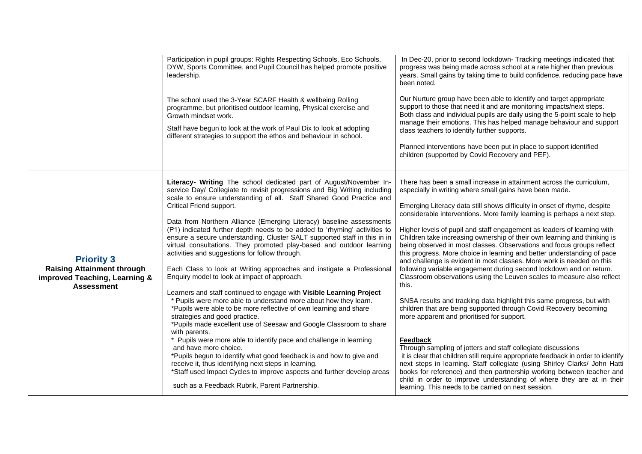|                                                                                                              | Participation in pupil groups: Rights Respecting Schools, Eco Schools,<br>DYW, Sports Committee, and Pupil Council has helped promote positive<br>leadership.<br>The school used the 3-Year SCARF Health & wellbeing Rolling<br>programme, but prioritised outdoor learning, Physical exercise and<br>Growth mindset work.<br>Staff have begun to look at the work of Paul Dix to look at adopting<br>different strategies to support the ethos and behaviour in school.                                                                                                                                                                                                                                                                                                                                                                                                                                                                                                                                                                                                                                                                                                                                                                                                                                                                                                                                                                    | In Dec-20, prior to second lockdown- Tracking meetings indicated that<br>progress was being made across school at a rate higher than previous<br>years. Small gains by taking time to build confidence, reducing pace have<br>been noted.<br>Our Nurture group have been able to identify and target appropriate<br>support to those that need it and are monitoring impacts/next steps.<br>Both class and individual pupils are daily using the 5-point scale to help<br>manage their emotions. This has helped manage behaviour and support<br>class teachers to identify further supports.<br>Planned interventions have been put in place to support identified<br>children (supported by Covid Recovery and PEF).                                                                                                                                                                                                                                                                                                                                                                                                                                                                                                                                                                                                                                                                                                                                                                    |
|--------------------------------------------------------------------------------------------------------------|---------------------------------------------------------------------------------------------------------------------------------------------------------------------------------------------------------------------------------------------------------------------------------------------------------------------------------------------------------------------------------------------------------------------------------------------------------------------------------------------------------------------------------------------------------------------------------------------------------------------------------------------------------------------------------------------------------------------------------------------------------------------------------------------------------------------------------------------------------------------------------------------------------------------------------------------------------------------------------------------------------------------------------------------------------------------------------------------------------------------------------------------------------------------------------------------------------------------------------------------------------------------------------------------------------------------------------------------------------------------------------------------------------------------------------------------|-------------------------------------------------------------------------------------------------------------------------------------------------------------------------------------------------------------------------------------------------------------------------------------------------------------------------------------------------------------------------------------------------------------------------------------------------------------------------------------------------------------------------------------------------------------------------------------------------------------------------------------------------------------------------------------------------------------------------------------------------------------------------------------------------------------------------------------------------------------------------------------------------------------------------------------------------------------------------------------------------------------------------------------------------------------------------------------------------------------------------------------------------------------------------------------------------------------------------------------------------------------------------------------------------------------------------------------------------------------------------------------------------------------------------------------------------------------------------------------------|
| <b>Priority 3</b><br><b>Raising Attainment through</b><br>improved Teaching, Learning &<br><b>Assessment</b> | Literacy- Writing The school dedicated part of August/November In-<br>service Day/ Collegiate to revisit progressions and Big Writing including<br>scale to ensure understanding of all. Staff Shared Good Practice and<br>Critical Friend support.<br>Data from Northern Alliance (Emerging Literacy) baseline assessments<br>(P1) indicated further depth needs to be added to 'rhyming' activities to<br>ensure a secure understanding. Cluster SALT supported staff in this in in<br>virtual consultations. They promoted play-based and outdoor learning<br>activities and suggestions for follow through.<br>Each Class to look at Writing approaches and instigate a Professional<br>Enquiry model to look at impact of approach.<br>Learners and staff continued to engage with Visible Learning Project<br>* Pupils were more able to understand more about how they learn.<br>*Pupils were able to be more reflective of own learning and share<br>strategies and good practice.<br>*Pupils made excellent use of Seesaw and Google Classroom to share<br>with parents.<br>* Pupils were more able to identify pace and challenge in learning<br>and have more choice.<br>*Pupils begun to identify what good feedback is and how to give and<br>receive it, thus identifying next steps in learning.<br>*Staff used Impact Cycles to improve aspects and further develop areas<br>such as a Feedback Rubrik, Parent Partnership. | There has been a small increase in attainment across the curriculum,<br>especially in writing where small gains have been made.<br>Emerging Literacy data still shows difficulty in onset of rhyme, despite<br>considerable interventions. More family learning is perhaps a next step.<br>Higher levels of pupil and staff engagement as leaders of learning with<br>Children take increasing ownership of their own learning and thinking is<br>being observed in most classes. Observations and focus groups reflect<br>this progress. More choice in learning and better understanding of pace<br>and challenge is evident in most classes. More work is needed on this<br>following variable engagement during second lockdown and on return.<br>Classroom observations using the Leuven scales to measure also reflect<br>this.<br>SNSA results and tracking data highlight this same progress, but with<br>children that are being supported through Covid Recovery becoming<br>more apparent and prioritised for support.<br>Feedback<br>Through sampling of jotters and staff collegiate discussions<br>it is clear that children still require appropriate feedback in order to identify<br>next steps in learning. Staff collegiate (using Shirley Clarks/ John Hatti<br>books for reference) and then partnership working between teacher and<br>child in order to improve understanding of where they are at in their<br>learning. This needs to be carried on next session. |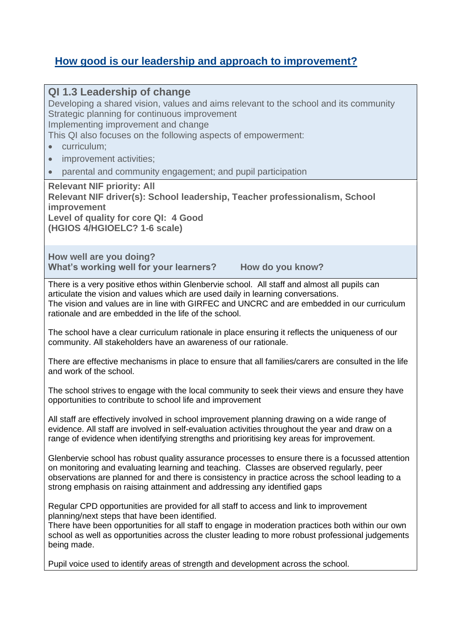## **How good is our leadership and approach to improvement?**

| QI 1.3 Leadership of change<br>Developing a shared vision, values and aims relevant to the school and its community<br>Strategic planning for continuous improvement<br>Implementing improvement and change<br>This QI also focuses on the following aspects of empowerment:<br>curriculum;<br>improvement activities;<br>$\bullet$<br>parental and community engagement; and pupil participation<br><b>Relevant NIF priority: All</b> |
|----------------------------------------------------------------------------------------------------------------------------------------------------------------------------------------------------------------------------------------------------------------------------------------------------------------------------------------------------------------------------------------------------------------------------------------|
| Relevant NIF driver(s): School leadership, Teacher professionalism, School<br>improvement<br>Level of quality for core QI: 4 Good<br>(HGIOS 4/HGIOELC? 1-6 scale)                                                                                                                                                                                                                                                                      |
| How well are you doing?<br>What's working well for your learners?<br>How do you know?                                                                                                                                                                                                                                                                                                                                                  |
| There is a very positive ethos within Glenbervie school. All staff and almost all pupils can<br>articulate the vision and values which are used daily in learning conversations.<br>The vision and values are in line with GIRFEC and UNCRC and are embedded in our curriculum<br>rationale and are embedded in the life of the school.                                                                                                |
| The school have a clear curriculum rationale in place ensuring it reflects the uniqueness of our<br>community. All stakeholders have an awareness of our rationale.                                                                                                                                                                                                                                                                    |
| There are effective mechanisms in place to ensure that all families/carers are consulted in the life<br>and work of the school.                                                                                                                                                                                                                                                                                                        |
| The school strives to engage with the local community to seek their views and ensure they have<br>opportunities to contribute to school life and improvement                                                                                                                                                                                                                                                                           |
| All staff are effectively involved in school improvement planning drawing on a wide range of<br>evidence. All staff are involved in self-evaluation activities throughout the year and draw on a<br>range of evidence when identifying strengths and prioritising key areas for improvement.                                                                                                                                           |
| Glenbervie school has robust quality assurance processes to ensure there is a focussed attention<br>on monitoring and evaluating learning and teaching. Classes are observed regularly, peer<br>observations are planned for and there is consistency in practice across the school leading to a<br>strong emphasis on raising attainment and addressing any identified gaps                                                           |
| Regular CPD opportunities are provided for all staff to access and link to improvement<br>planning/next steps that have been identified.<br>There have been opportunities for all staff to engage in moderation practices both within our own<br>school as well as opportunities across the cluster leading to more robust professional judgements<br>being made.                                                                      |
| Pupil voice used to identify areas of strength and development across the school.                                                                                                                                                                                                                                                                                                                                                      |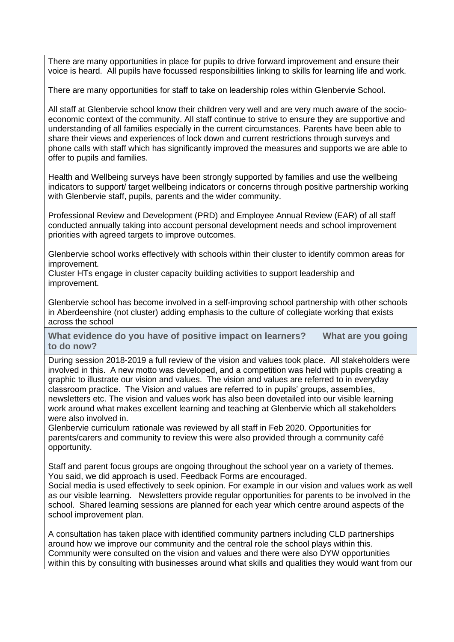There are many opportunities in place for pupils to drive forward improvement and ensure their voice is heard. All pupils have focussed responsibilities linking to skills for learning life and work.

There are many opportunities for staff to take on leadership roles within Glenbervie School.

All staff at Glenbervie school know their children very well and are very much aware of the socioeconomic context of the community. All staff continue to strive to ensure they are supportive and understanding of all families especially in the current circumstances. Parents have been able to share their views and experiences of lock down and current restrictions through surveys and phone calls with staff which has significantly improved the measures and supports we are able to offer to pupils and families.

Health and Wellbeing surveys have been strongly supported by families and use the wellbeing indicators to support/ target wellbeing indicators or concerns through positive partnership working with Glenbervie staff, pupils, parents and the wider community.

Professional Review and Development (PRD) and Employee Annual Review (EAR) of all staff conducted annually taking into account personal development needs and school improvement priorities with agreed targets to improve outcomes.

Glenbervie school works effectively with schools within their cluster to identify common areas for improvement.

Cluster HTs engage in cluster capacity building activities to support leadership and improvement.

Glenbervie school has become involved in a self-improving school partnership with other schools in Aberdeenshire (not cluster) adding emphasis to the culture of collegiate working that exists across the school

**What evidence do you have of positive impact on learners? What are you going to do now?**

During session 2018-2019 a full review of the vision and values took place. All stakeholders were involved in this. A new motto was developed, and a competition was held with pupils creating a graphic to illustrate our vision and values. The vision and values are referred to in everyday classroom practice. The Vision and values are referred to in pupils' groups, assemblies, newsletters etc. The vision and values work has also been dovetailed into our visible learning work around what makes excellent learning and teaching at Glenbervie which all stakeholders were also involved in.

Glenbervie curriculum rationale was reviewed by all staff in Feb 2020. Opportunities for parents/carers and community to review this were also provided through a community café opportunity.

Staff and parent focus groups are ongoing throughout the school year on a variety of themes. You said, we did approach is used. Feedback Forms are encouraged.

Social media is used effectively to seek opinion. For example in our vision and values work as well as our visible learning. Newsletters provide regular opportunities for parents to be involved in the school. Shared learning sessions are planned for each year which centre around aspects of the school improvement plan.

A consultation has taken place with identified community partners including CLD partnerships around how we improve our community and the central role the school plays within this. Community were consulted on the vision and values and there were also DYW opportunities within this by consulting with businesses around what skills and qualities they would want from our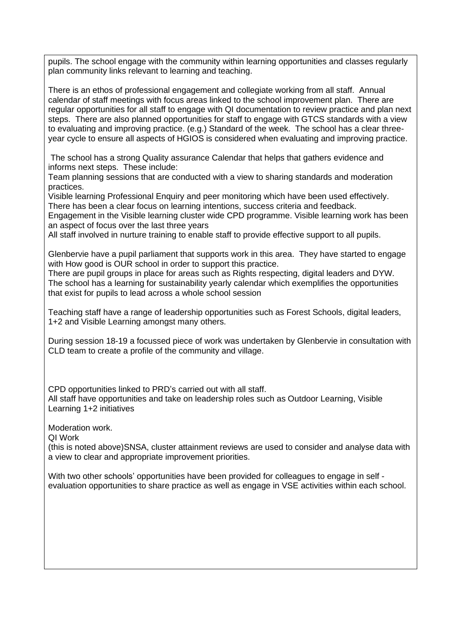pupils. The school engage with the community within learning opportunities and classes regularly plan community links relevant to learning and teaching.

There is an ethos of professional engagement and collegiate working from all staff. Annual calendar of staff meetings with focus areas linked to the school improvement plan. There are regular opportunities for all staff to engage with QI documentation to review practice and plan next steps. There are also planned opportunities for staff to engage with GTCS standards with a view to evaluating and improving practice. (e.g.) Standard of the week. The school has a clear threeyear cycle to ensure all aspects of HGIOS is considered when evaluating and improving practice.

The school has a strong Quality assurance Calendar that helps that gathers evidence and informs next steps. These include:

Team planning sessions that are conducted with a view to sharing standards and moderation practices.

Visible learning Professional Enquiry and peer monitoring which have been used effectively. There has been a clear focus on learning intentions, success criteria and feedback.

Engagement in the Visible learning cluster wide CPD programme. Visible learning work has been an aspect of focus over the last three years

All staff involved in nurture training to enable staff to provide effective support to all pupils.

Glenbervie have a pupil parliament that supports work in this area. They have started to engage with How good is OUR school in order to support this practice.

There are pupil groups in place for areas such as Rights respecting, digital leaders and DYW. The school has a learning for sustainability yearly calendar which exemplifies the opportunities that exist for pupils to lead across a whole school session

Teaching staff have a range of leadership opportunities such as Forest Schools, digital leaders, 1+2 and Visible Learning amongst many others.

During session 18-19 a focussed piece of work was undertaken by Glenbervie in consultation with CLD team to create a profile of the community and village.

CPD opportunities linked to PRD's carried out with all staff. All staff have opportunities and take on leadership roles such as Outdoor Learning, Visible Learning 1+2 initiatives

Moderation work.

QI Work

(this is noted above)SNSA, cluster attainment reviews are used to consider and analyse data with a view to clear and appropriate improvement priorities.

With two other schools' opportunities have been provided for colleagues to engage in self evaluation opportunities to share practice as well as engage in VSE activities within each school.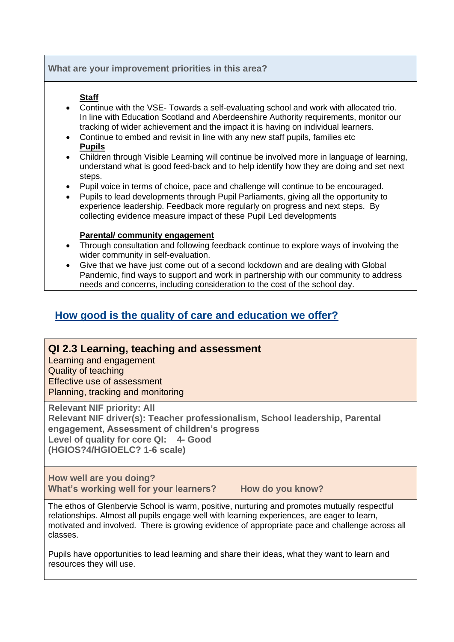#### **What are your improvement priorities in this area?**

#### **Staff**

- Continue with the VSE- Towards a self-evaluating school and work with allocated trio. In line with Education Scotland and Aberdeenshire Authority requirements, monitor our tracking of wider achievement and the impact it is having on individual learners.
- Continue to embed and revisit in line with any new staff pupils, families etc **Pupils**
- Children through Visible Learning will continue be involved more in language of learning, understand what is good feed-back and to help identify how they are doing and set next steps.
- Pupil voice in terms of choice, pace and challenge will continue to be encouraged.
- Pupils to lead developments through Pupil Parliaments, giving all the opportunity to experience leadership. Feedback more regularly on progress and next steps. By collecting evidence measure impact of these Pupil Led developments

#### **Parental/ community engagement**

- Through consultation and following feedback continue to explore ways of involving the wider community in self-evaluation.
- Give that we have just come out of a second lockdown and are dealing with Global Pandemic, find ways to support and work in partnership with our community to address needs and concerns, including consideration to the cost of the school day.

## **How good is the quality of care and education we offer?**

#### **QI 2.3 Learning, teaching and assessment**

Learning and engagement Quality of teaching Effective use of assessment Planning, tracking and monitoring

**Relevant NIF priority: All**

**Relevant NIF driver(s): Teacher professionalism, School leadership, Parental engagement, Assessment of children's progress Level of quality for core QI: 4- Good (HGIOS?4/HGIOELC? 1-6 scale)**

**How well are you doing?** What's working well for your learners? How do you know?

The ethos of Glenbervie School is warm, positive, nurturing and promotes mutually respectful relationships. Almost all pupils engage well with learning experiences, are eager to learn, motivated and involved. There is growing evidence of appropriate pace and challenge across all classes.

Pupils have opportunities to lead learning and share their ideas, what they want to learn and resources they will use.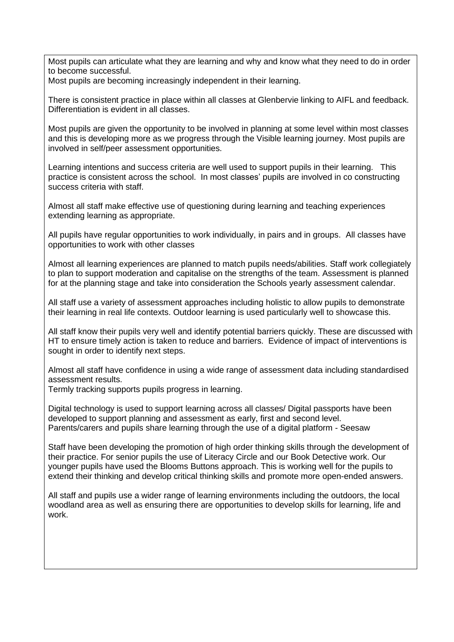Most pupils can articulate what they are learning and why and know what they need to do in order to become successful.

Most pupils are becoming increasingly independent in their learning.

There is consistent practice in place within all classes at Glenbervie linking to AIFL and feedback. Differentiation is evident in all classes.

Most pupils are given the opportunity to be involved in planning at some level within most classes and this is developing more as we progress through the Visible learning journey. Most pupils are involved in self/peer assessment opportunities.

Learning intentions and success criteria are well used to support pupils in their learning. This practice is consistent across the school. In most classes' pupils are involved in co constructing success criteria with staff.

Almost all staff make effective use of questioning during learning and teaching experiences extending learning as appropriate.

All pupils have regular opportunities to work individually, in pairs and in groups. All classes have opportunities to work with other classes

Almost all learning experiences are planned to match pupils needs/abilities. Staff work collegiately to plan to support moderation and capitalise on the strengths of the team. Assessment is planned for at the planning stage and take into consideration the Schools yearly assessment calendar.

All staff use a variety of assessment approaches including holistic to allow pupils to demonstrate their learning in real life contexts. Outdoor learning is used particularly well to showcase this.

All staff know their pupils very well and identify potential barriers quickly. These are discussed with HT to ensure timely action is taken to reduce and barriers. Evidence of impact of interventions is sought in order to identify next steps.

Almost all staff have confidence in using a wide range of assessment data including standardised assessment results.

Termly tracking supports pupils progress in learning.

Digital technology is used to support learning across all classes/ Digital passports have been developed to support planning and assessment as early, first and second level. Parents/carers and pupils share learning through the use of a digital platform - Seesaw

Staff have been developing the promotion of high order thinking skills through the development of their practice. For senior pupils the use of Literacy Circle and our Book Detective work. Our younger pupils have used the Blooms Buttons approach. This is working well for the pupils to extend their thinking and develop critical thinking skills and promote more open-ended answers.

All staff and pupils use a wider range of learning environments including the outdoors, the local woodland area as well as ensuring there are opportunities to develop skills for learning, life and work.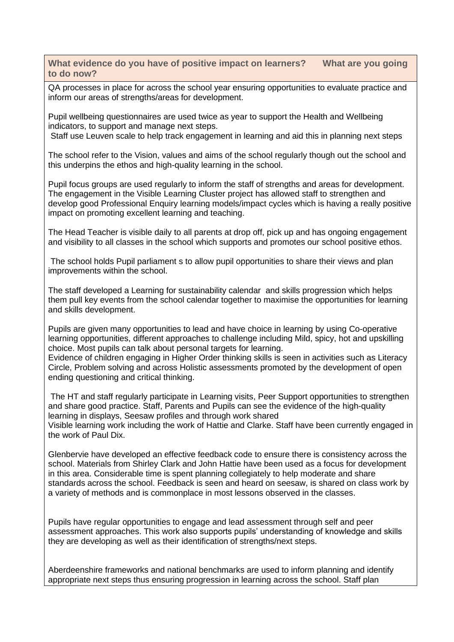**What evidence do you have of positive impact on learners? What are you going to do now?**

QA processes in place for across the school year ensuring opportunities to evaluate practice and inform our areas of strengths/areas for development.

Pupil wellbeing questionnaires are used twice as year to support the Health and Wellbeing indicators, to support and manage next steps.

Staff use Leuven scale to help track engagement in learning and aid this in planning next steps

The school refer to the Vision, values and aims of the school regularly though out the school and this underpins the ethos and high-quality learning in the school.

Pupil focus groups are used regularly to inform the staff of strengths and areas for development. The engagement in the Visible Learning Cluster project has allowed staff to strengthen and develop good Professional Enquiry learning models/impact cycles which is having a really positive impact on promoting excellent learning and teaching.

The Head Teacher is visible daily to all parents at drop off, pick up and has ongoing engagement and visibility to all classes in the school which supports and promotes our school positive ethos.

The school holds Pupil parliament s to allow pupil opportunities to share their views and plan improvements within the school.

The staff developed a Learning for sustainability calendar and skills progression which helps them pull key events from the school calendar together to maximise the opportunities for learning and skills development.

Pupils are given many opportunities to lead and have choice in learning by using Co-operative learning opportunities, different approaches to challenge including Mild, spicy, hot and upskilling choice. Most pupils can talk about personal targets for learning. Evidence of children engaging in Higher Order thinking skills is seen in activities such as Literacy Circle, Problem solving and across Holistic assessments promoted by the development of open ending questioning and critical thinking.

The HT and staff regularly participate in Learning visits, Peer Support opportunities to strengthen and share good practice. Staff, Parents and Pupils can see the evidence of the high-quality learning in displays, Seesaw profiles and through work shared Visible learning work including the work of Hattie and Clarke. Staff have been currently engaged in the work of Paul Dix.

Glenbervie have developed an effective feedback code to ensure there is consistency across the school. Materials from Shirley Clark and John Hattie have been used as a focus for development in this area. Considerable time is spent planning collegiately to help moderate and share standards across the school. Feedback is seen and heard on seesaw, is shared on class work by a variety of methods and is commonplace in most lessons observed in the classes.

Pupils have regular opportunities to engage and lead assessment through self and peer assessment approaches. This work also supports pupils' understanding of knowledge and skills they are developing as well as their identification of strengths/next steps.

Aberdeenshire frameworks and national benchmarks are used to inform planning and identify appropriate next steps thus ensuring progression in learning across the school. Staff plan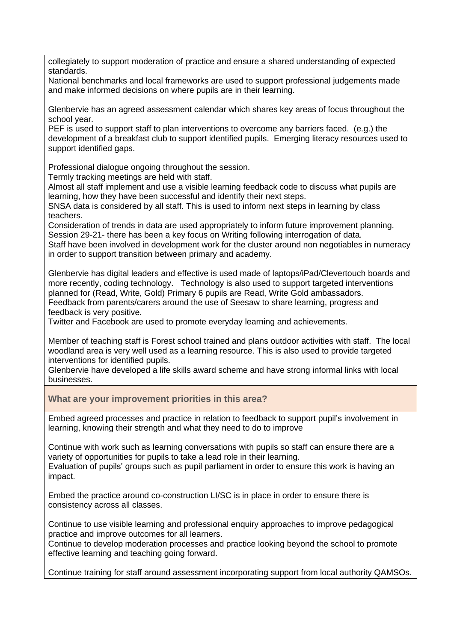collegiately to support moderation of practice and ensure a shared understanding of expected standards.

National benchmarks and local frameworks are used to support professional judgements made and make informed decisions on where pupils are in their learning.

Glenbervie has an agreed assessment calendar which shares key areas of focus throughout the school year.

PEF is used to support staff to plan interventions to overcome any barriers faced. (e.g.) the development of a breakfast club to support identified pupils. Emerging literacy resources used to support identified gaps.

Professional dialogue ongoing throughout the session.

Termly tracking meetings are held with staff.

Almost all staff implement and use a visible learning feedback code to discuss what pupils are learning, how they have been successful and identify their next steps.

SNSA data is considered by all staff. This is used to inform next steps in learning by class teachers.

Consideration of trends in data are used appropriately to inform future improvement planning. Session 29-21- there has been a key focus on Writing following interrogation of data.

Staff have been involved in development work for the cluster around non negotiables in numeracy in order to support transition between primary and academy.

Glenbervie has digital leaders and effective is used made of laptops/iPad/Clevertouch boards and more recently, coding technology. Technology is also used to support targeted interventions planned for (Read, Write, Gold) Primary 6 pupils are Read, Write Gold ambassadors. Feedback from parents/carers around the use of Seesaw to share learning, progress and feedback is very positive.

Twitter and Facebook are used to promote everyday learning and achievements.

Member of teaching staff is Forest school trained and plans outdoor activities with staff. The local woodland area is very well used as a learning resource. This is also used to provide targeted interventions for identified pupils.

Glenbervie have developed a life skills award scheme and have strong informal links with local businesses.

**What are your improvement priorities in this area?**

Embed agreed processes and practice in relation to feedback to support pupil's involvement in learning, knowing their strength and what they need to do to improve

Continue with work such as learning conversations with pupils so staff can ensure there are a variety of opportunities for pupils to take a lead role in their learning.

Evaluation of pupils' groups such as pupil parliament in order to ensure this work is having an impact.

Embed the practice around co-construction LI/SC is in place in order to ensure there is consistency across all classes.

Continue to use visible learning and professional enquiry approaches to improve pedagogical practice and improve outcomes for all learners.

Continue to develop moderation processes and practice looking beyond the school to promote effective learning and teaching going forward.

Continue training for staff around assessment incorporating support from local authority QAMSOs.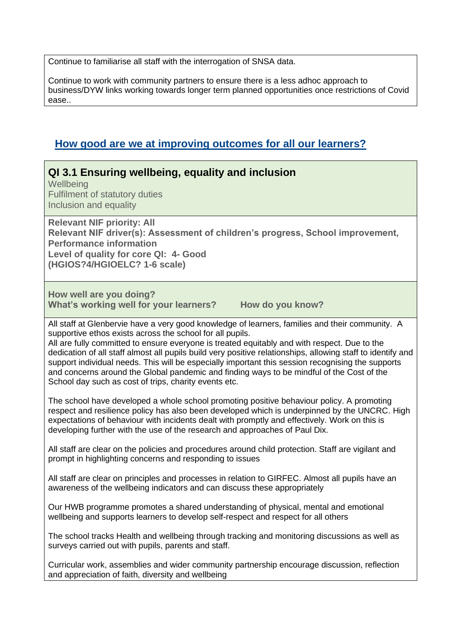Continue to familiarise all staff with the interrogation of SNSA data.

Continue to work with community partners to ensure there is a less adhoc approach to business/DYW links working towards longer term planned opportunities once restrictions of Covid ease..

## **How good are we at improving outcomes for all our learners?**

**QI 3.1 Ensuring wellbeing, equality and inclusion Wellbeing** Fulfilment of statutory duties Inclusion and equality **Relevant NIF priority: All Relevant NIF driver(s): Assessment of children's progress, School improvement, Performance information Level of quality for core QI: 4- Good (HGIOS?4/HGIOELC? 1-6 scale) How well are you doing? What's working well for your learners? How do you know?** All staff at Glenbervie have a very good knowledge of learners, families and their community. A supportive ethos exists across the school for all pupils. All are fully committed to ensure everyone is treated equitably and with respect. Due to the dedication of all staff almost all pupils build very positive relationships, allowing staff to identify and support individual needs. This will be especially important this session recognising the supports and concerns around the Global pandemic and finding ways to be mindful of the Cost of the School day such as cost of trips, charity events etc. The school have developed a whole school promoting positive behaviour policy. A promoting respect and resilience policy has also been developed which is underpinned by the UNCRC. High expectations of behaviour with incidents dealt with promptly and effectively. Work on this is developing further with the use of the research and approaches of Paul Dix. All staff are clear on the policies and procedures around child protection. Staff are vigilant and prompt in highlighting concerns and responding to issues All staff are clear on principles and processes in relation to GIRFEC. Almost all pupils have an awareness of the wellbeing indicators and can discuss these appropriately Our HWB programme promotes a shared understanding of physical, mental and emotional wellbeing and supports learners to develop self-respect and respect for all others The school tracks Health and wellbeing through tracking and monitoring discussions as well as surveys carried out with pupils, parents and staff. Curricular work, assemblies and wider community partnership encourage discussion, reflection and appreciation of faith, diversity and wellbeing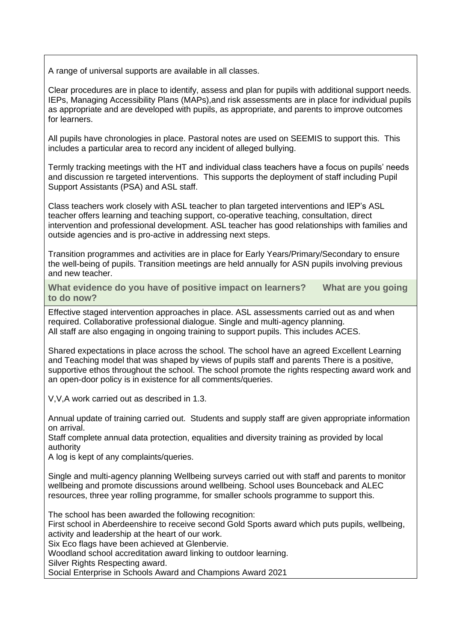A range of universal supports are available in all classes.

Clear procedures are in place to identify, assess and plan for pupils with additional support needs. IEPs, Managing Accessibility Plans (MAPs),and risk assessments are in place for individual pupils as appropriate and are developed with pupils, as appropriate, and parents to improve outcomes for learners.

All pupils have chronologies in place. Pastoral notes are used on SEEMIS to support this. This includes a particular area to record any incident of alleged bullying.

Termly tracking meetings with the HT and individual class teachers have a focus on pupils' needs and discussion re targeted interventions. This supports the deployment of staff including Pupil Support Assistants (PSA) and ASL staff.

Class teachers work closely with ASL teacher to plan targeted interventions and IEP's ASL teacher offers learning and teaching support, co-operative teaching, consultation, direct intervention and professional development. ASL teacher has good relationships with families and outside agencies and is pro-active in addressing next steps.

Transition programmes and activities are in place for Early Years/Primary/Secondary to ensure the well-being of pupils. Transition meetings are held annually for ASN pupils involving previous and new teacher.

**What evidence do you have of positive impact on learners? What are you going to do now?**

Effective staged intervention approaches in place. ASL assessments carried out as and when required. Collaborative professional dialogue. Single and multi-agency planning. All staff are also engaging in ongoing training to support pupils. This includes ACES.

Shared expectations in place across the school. The school have an agreed Excellent Learning and Teaching model that was shaped by views of pupils staff and parents There is a positive, supportive ethos throughout the school. The school promote the rights respecting award work and an open-door policy is in existence for all comments/queries.

V,V,A work carried out as described in 1.3.

Annual update of training carried out. Students and supply staff are given appropriate information on arrival.

Staff complete annual data protection, equalities and diversity training as provided by local authority

A log is kept of any complaints/queries.

Single and multi-agency planning Wellbeing surveys carried out with staff and parents to monitor wellbeing and promote discussions around wellbeing. School uses Bounceback and ALEC resources, three year rolling programme, for smaller schools programme to support this.

The school has been awarded the following recognition:

First school in Aberdeenshire to receive second Gold Sports award which puts pupils, wellbeing, activity and leadership at the heart of our work.

Six Eco flags have been achieved at Glenbervie.

Woodland school accreditation award linking to outdoor learning.

Silver Rights Respecting award.

Social Enterprise in Schools Award and Champions Award 2021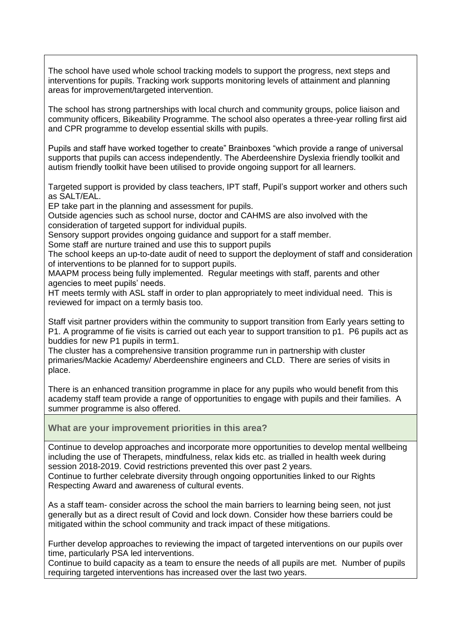The school have used whole school tracking models to support the progress, next steps and interventions for pupils. Tracking work supports monitoring levels of attainment and planning areas for improvement/targeted intervention.

The school has strong partnerships with local church and community groups, police liaison and community officers, Bikeability Programme. The school also operates a three-year rolling first aid and CPR programme to develop essential skills with pupils.

Pupils and staff have worked together to create" Brainboxes "which provide a range of universal supports that pupils can access independently. The Aberdeenshire Dyslexia friendly toolkit and autism friendly toolkit have been utilised to provide ongoing support for all learners.

Targeted support is provided by class teachers, IPT staff, Pupil's support worker and others such as SALT/EAL.

EP take part in the planning and assessment for pupils.

Outside agencies such as school nurse, doctor and CAHMS are also involved with the consideration of targeted support for individual pupils.

Sensory support provides ongoing guidance and support for a staff member.

Some staff are nurture trained and use this to support pupils

The school keeps an up-to-date audit of need to support the deployment of staff and consideration of interventions to be planned for to support pupils.

MAAPM process being fully implemented. Regular meetings with staff, parents and other agencies to meet pupils' needs.

HT meets termly with ASL staff in order to plan appropriately to meet individual need. This is reviewed for impact on a termly basis too.

Staff visit partner providers within the community to support transition from Early years setting to P1. A programme of fie visits is carried out each year to support transition to p1. P6 pupils act as buddies for new P1 pupils in term1.

The cluster has a comprehensive transition programme run in partnership with cluster primaries/Mackie Academy/ Aberdeenshire engineers and CLD. There are series of visits in place.

There is an enhanced transition programme in place for any pupils who would benefit from this academy staff team provide a range of opportunities to engage with pupils and their families. A summer programme is also offered.

**What are your improvement priorities in this area?**

Continue to develop approaches and incorporate more opportunities to develop mental wellbeing including the use of Therapets, mindfulness, relax kids etc. as trialled in health week during session 2018-2019. Covid restrictions prevented this over past 2 years. Continue to further celebrate diversity through ongoing opportunities linked to our Rights Respecting Award and awareness of cultural events.

As a staff team- consider across the school the main barriers to learning being seen, not just generally but as a direct result of Covid and lock down. Consider how these barriers could be mitigated within the school community and track impact of these mitigations.

Further develop approaches to reviewing the impact of targeted interventions on our pupils over time, particularly PSA led interventions.

Continue to build capacity as a team to ensure the needs of all pupils are met. Number of pupils requiring targeted interventions has increased over the last two years.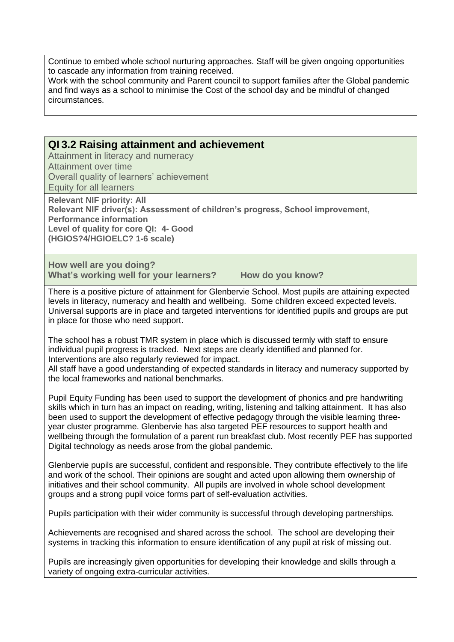Continue to embed whole school nurturing approaches. Staff will be given ongoing opportunities to cascade any information from training received.

Work with the school community and Parent council to support families after the Global pandemic and find ways as a school to minimise the Cost of the school day and be mindful of changed circumstances.

#### **QI 3.2 Raising attainment and achievement**

Attainment in literacy and numeracy Attainment over time Overall quality of learners' achievement Equity for all learners

**Relevant NIF priority: All Relevant NIF driver(s): Assessment of children's progress, School improvement, Performance information Level of quality for core QI: 4- Good (HGIOS?4/HGIOELC? 1-6 scale)**

**How well are you doing? What's working well for your learners? How do you know?**

There is a positive picture of attainment for Glenbervie School. Most pupils are attaining expected levels in literacy, numeracy and health and wellbeing. Some children exceed expected levels. Universal supports are in place and targeted interventions for identified pupils and groups are put in place for those who need support.

The school has a robust TMR system in place which is discussed termly with staff to ensure individual pupil progress is tracked. Next steps are clearly identified and planned for. Interventions are also regularly reviewed for impact.

All staff have a good understanding of expected standards in literacy and numeracy supported by the local frameworks and national benchmarks.

Pupil Equity Funding has been used to support the development of phonics and pre handwriting skills which in turn has an impact on reading, writing, listening and talking attainment. It has also been used to support the development of effective pedagogy through the visible learning threeyear cluster programme. Glenbervie has also targeted PEF resources to support health and wellbeing through the formulation of a parent run breakfast club. Most recently PEF has supported Digital technology as needs arose from the global pandemic.

Glenbervie pupils are successful, confident and responsible. They contribute effectively to the life and work of the school. Their opinions are sought and acted upon allowing them ownership of initiatives and their school community. All pupils are involved in whole school development groups and a strong pupil voice forms part of self-evaluation activities.

Pupils participation with their wider community is successful through developing partnerships.

Achievements are recognised and shared across the school. The school are developing their systems in tracking this information to ensure identification of any pupil at risk of missing out.

Pupils are increasingly given opportunities for developing their knowledge and skills through a variety of ongoing extra-curricular activities.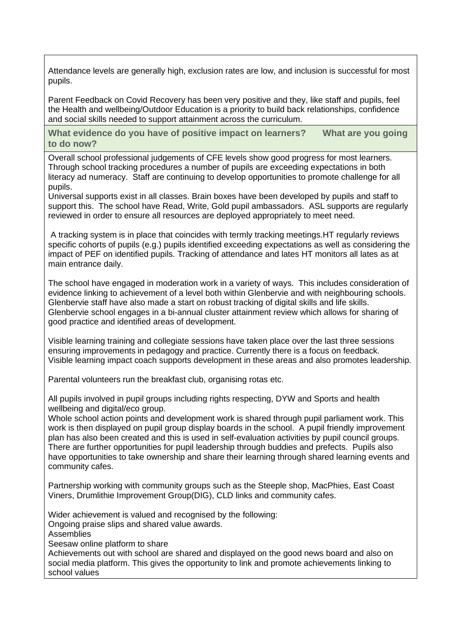Attendance levels are generally high, exclusion rates are low, and inclusion is successful for most pupils.

Parent Feedback on Covid Recovery has been very positive and they, like staff and pupils, feel the Health and wellbeing/Outdoor Education is a priority to build back relationships, confidence and social skills needed to support attainment across the curriculum.

**What evidence do you have of positive impact on learners? What are you going to do now?**

Overall school professional judgements of CFE levels show good progress for most learners. Through school tracking procedures a number of pupils are exceeding expectations in both literacy ad numeracy. Staff are continuing to develop opportunities to promote challenge for all pupils.

Universal supports exist in all classes. Brain boxes have been developed by pupils and staff to support this. The school have Read, Write, Gold pupil ambassadors. ASL supports are regularly reviewed in order to ensure all resources are deployed appropriately to meet need.

A tracking system is in place that coincides with termly tracking meetings.HT regularly reviews specific cohorts of pupils (e.g.) pupils identified exceeding expectations as well as considering the impact of PEF on identified pupils. Tracking of attendance and lates HT monitors all lates as at main entrance daily.

The school have engaged in moderation work in a variety of ways. This includes consideration of evidence linking to achievement of a level both within Glenbervie and with neighbouring schools. Glenbervie staff have also made a start on robust tracking of digital skills and life skills. Glenbervie school engages in a bi-annual cluster attainment review which allows for sharing of good practice and identified areas of development.

Visible learning training and collegiate sessions have taken place over the last three sessions ensuring improvements in pedagogy and practice. Currently there is a focus on feedback. Visible learning impact coach supports development in these areas and also promotes leadership.

Parental volunteers run the breakfast club, organising rotas etc.

All pupils involved in pupil groups including rights respecting, DYW and Sports and health wellbeing and digital/eco group.

Whole school action points and development work is shared through pupil parliament work. This work is then displayed on pupil group display boards in the school. A pupil friendly improvement plan has also been created and this is used in self-evaluation activities by pupil council groups. There are further opportunities for pupil leadership through buddies and prefects. Pupils also have opportunities to take ownership and share their learning through shared learning events and community cafes.

Partnership working with community groups such as the Steeple shop, MacPhies, East Coast Viners, Drumlithie Improvement Group(DIG), CLD links and community cafes.

Wider achievement is valued and recognised by the following: Ongoing praise slips and shared value awards. Assemblies Seesaw online platform to share Achievements out with school are shared and displayed on the good news board and also on social media platform. This gives the opportunity to link and promote achievements linking to school values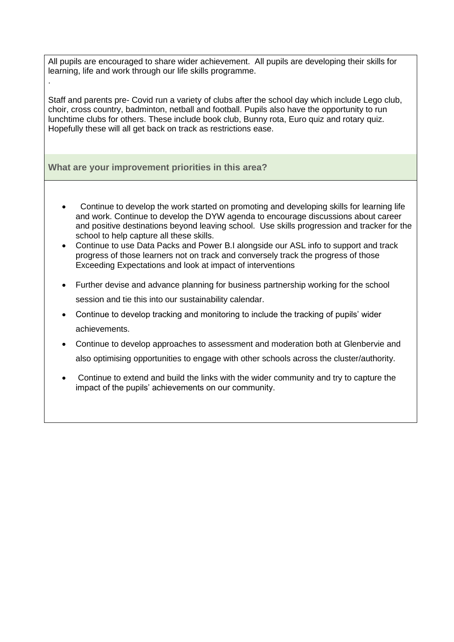All pupils are encouraged to share wider achievement. All pupils are developing their skills for learning, life and work through our life skills programme.

Staff and parents pre- Covid run a variety of clubs after the school day which include Lego club, choir, cross country, badminton, netball and football. Pupils also have the opportunity to run lunchtime clubs for others. These include book club, Bunny rota, Euro quiz and rotary quiz. Hopefully these will all get back on track as restrictions ease.

#### **What are your improvement priorities in this area?**

.

- Continue to develop the work started on promoting and developing skills for learning life and work. Continue to develop the DYW agenda to encourage discussions about career and positive destinations beyond leaving school. Use skills progression and tracker for the school to help capture all these skills.
- Continue to use Data Packs and Power B.I alongside our ASL info to support and track progress of those learners not on track and conversely track the progress of those Exceeding Expectations and look at impact of interventions
- Further devise and advance planning for business partnership working for the school session and tie this into our sustainability calendar.
- Continue to develop tracking and monitoring to include the tracking of pupils' wider achievements.
- Continue to develop approaches to assessment and moderation both at Glenbervie and also optimising opportunities to engage with other schools across the cluster/authority.
- Continue to extend and build the links with the wider community and try to capture the impact of the pupils' achievements on our community.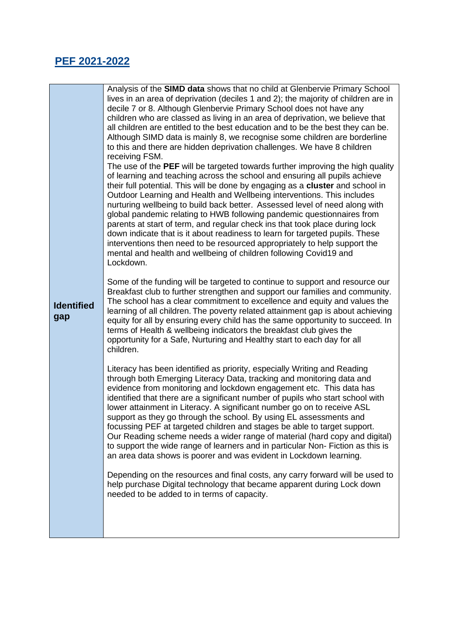## **PEF 2021-2022**

| <b>Identified</b><br>gap | Analysis of the <b>SIMD data</b> shows that no child at Glenbervie Primary School<br>lives in an area of deprivation (deciles 1 and 2); the majority of children are in<br>decile 7 or 8. Although Glenbervie Primary School does not have any<br>children who are classed as living in an area of deprivation, we believe that<br>all children are entitled to the best education and to be the best they can be.<br>Although SIMD data is mainly 8, we recognise some children are borderline<br>to this and there are hidden deprivation challenges. We have 8 children<br>receiving FSM.<br>The use of the PEF will be targeted towards further improving the high quality<br>of learning and teaching across the school and ensuring all pupils achieve<br>their full potential. This will be done by engaging as a cluster and school in<br>Outdoor Learning and Health and Wellbeing interventions. This includes<br>nurturing wellbeing to build back better. Assessed level of need along with<br>global pandemic relating to HWB following pandemic questionnaires from<br>parents at start of term, and regular check ins that took place during lock<br>down indicate that is it about readiness to learn for targeted pupils. These<br>interventions then need to be resourced appropriately to help support the<br>mental and health and wellbeing of children following Covid19 and<br>Lockdown. |
|--------------------------|-----------------------------------------------------------------------------------------------------------------------------------------------------------------------------------------------------------------------------------------------------------------------------------------------------------------------------------------------------------------------------------------------------------------------------------------------------------------------------------------------------------------------------------------------------------------------------------------------------------------------------------------------------------------------------------------------------------------------------------------------------------------------------------------------------------------------------------------------------------------------------------------------------------------------------------------------------------------------------------------------------------------------------------------------------------------------------------------------------------------------------------------------------------------------------------------------------------------------------------------------------------------------------------------------------------------------------------------------------------------------------------------------------------------|
|                          | Some of the funding will be targeted to continue to support and resource our<br>Breakfast club to further strengthen and support our families and community.<br>The school has a clear commitment to excellence and equity and values the<br>learning of all children. The poverty related attainment gap is about achieving<br>equity for all by ensuring every child has the same opportunity to succeed. In<br>terms of Health & wellbeing indicators the breakfast club gives the<br>opportunity for a Safe, Nurturing and Healthy start to each day for all<br>children.                                                                                                                                                                                                                                                                                                                                                                                                                                                                                                                                                                                                                                                                                                                                                                                                                                   |
|                          | Literacy has been identified as priority, especially Writing and Reading<br>through both Emerging Literacy Data, tracking and monitoring data and<br>evidence from monitoring and lockdown engagement etc. This data has<br>identified that there are a significant number of pupils who start school with<br>lower attainment in Literacy. A significant number go on to receive ASL<br>support as they go through the school. By using EL assessments and<br>focussing PEF at targeted children and stages be able to target support.<br>Our Reading scheme needs a wider range of material (hard copy and digital)<br>to support the wide range of learners and in particular Non-Fiction as this is<br>an area data shows is poorer and was evident in Lockdown learning.                                                                                                                                                                                                                                                                                                                                                                                                                                                                                                                                                                                                                                   |
|                          | Depending on the resources and final costs, any carry forward will be used to<br>help purchase Digital technology that became apparent during Lock down<br>needed to be added to in terms of capacity.                                                                                                                                                                                                                                                                                                                                                                                                                                                                                                                                                                                                                                                                                                                                                                                                                                                                                                                                                                                                                                                                                                                                                                                                          |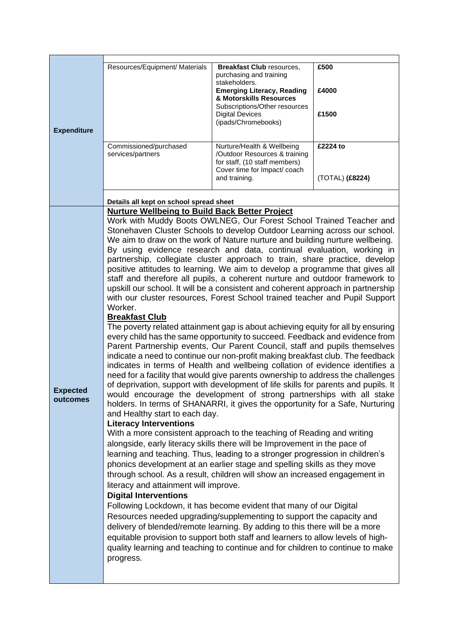| <b>Expenditure</b>          | Resources/Equipment/ Materials                                                                                                                                                                                                                                                                                                                                                                                                                                                                                                                                                                                                                                                                                                                                                                                                                                                                                                                                                                                                                                                                                                                                                                                                                                                                                                                                                                                                                                                                                                                                                                                                                                                                                                                                                                                                                                                                                                                                                                                                                                                                                                                                                                                                                                                                                                                                                                                                                                                                                                     | <b>Breakfast Club resources,</b><br>purchasing and training<br>stakeholders.<br><b>Emerging Literacy, Reading</b><br>& Motorskills Resources<br>Subscriptions/Other resources<br><b>Digital Devices</b><br>(ipads/Chromebooks) | £500<br>£4000<br>£1500      |
|-----------------------------|------------------------------------------------------------------------------------------------------------------------------------------------------------------------------------------------------------------------------------------------------------------------------------------------------------------------------------------------------------------------------------------------------------------------------------------------------------------------------------------------------------------------------------------------------------------------------------------------------------------------------------------------------------------------------------------------------------------------------------------------------------------------------------------------------------------------------------------------------------------------------------------------------------------------------------------------------------------------------------------------------------------------------------------------------------------------------------------------------------------------------------------------------------------------------------------------------------------------------------------------------------------------------------------------------------------------------------------------------------------------------------------------------------------------------------------------------------------------------------------------------------------------------------------------------------------------------------------------------------------------------------------------------------------------------------------------------------------------------------------------------------------------------------------------------------------------------------------------------------------------------------------------------------------------------------------------------------------------------------------------------------------------------------------------------------------------------------------------------------------------------------------------------------------------------------------------------------------------------------------------------------------------------------------------------------------------------------------------------------------------------------------------------------------------------------------------------------------------------------------------------------------------------------|--------------------------------------------------------------------------------------------------------------------------------------------------------------------------------------------------------------------------------|-----------------------------|
|                             | Commissioned/purchased<br>services/partners                                                                                                                                                                                                                                                                                                                                                                                                                                                                                                                                                                                                                                                                                                                                                                                                                                                                                                                                                                                                                                                                                                                                                                                                                                                                                                                                                                                                                                                                                                                                                                                                                                                                                                                                                                                                                                                                                                                                                                                                                                                                                                                                                                                                                                                                                                                                                                                                                                                                                        | Nurture/Health & Wellbeing<br>/Outdoor Resources & training<br>for staff, (10 staff members)<br>Cover time for Impact/ coach<br>and training.                                                                                  | £2224 to<br>(TOTAL) (£8224) |
|                             | Details all kept on school spread sheet                                                                                                                                                                                                                                                                                                                                                                                                                                                                                                                                                                                                                                                                                                                                                                                                                                                                                                                                                                                                                                                                                                                                                                                                                                                                                                                                                                                                                                                                                                                                                                                                                                                                                                                                                                                                                                                                                                                                                                                                                                                                                                                                                                                                                                                                                                                                                                                                                                                                                            |                                                                                                                                                                                                                                |                             |
| <b>Expected</b><br>outcomes | Nurture Wellbeing to Build Back Better Project<br>Work with Muddy Boots OWLNEG, Our Forest School Trained Teacher and<br>Stonehaven Cluster Schools to develop Outdoor Learning across our school.<br>We aim to draw on the work of Nature nurture and building nurture wellbeing.<br>By using evidence research and data, continual evaluation, working in<br>partnership, collegiate cluster approach to train, share practice, develop<br>positive attitudes to learning. We aim to develop a programme that gives all<br>staff and therefore all pupils, a coherent nurture and outdoor framework to<br>upskill our school. It will be a consistent and coherent approach in partnership<br>with our cluster resources, Forest School trained teacher and Pupil Support<br>Worker.<br><b>Breakfast Club</b><br>The poverty related attainment gap is about achieving equity for all by ensuring<br>every child has the same opportunity to succeed. Feedback and evidence from<br>Parent Partnership events, Our Parent Council, staff and pupils themselves<br>indicate a need to continue our non-profit making breakfast club. The feedback<br>indicates in terms of Health and wellbeing collation of evidence identifies a<br>need for a facility that would give parents ownership to address the challenges<br>of deprivation, support with development of life skills for parents and pupils. It<br>would encourage the development of strong partnerships with all stake<br>holders. In terms of SHANARRI, it gives the opportunity for a Safe, Nurturing<br>and Healthy start to each day.<br><b>Literacy Interventions</b><br>With a more consistent approach to the teaching of Reading and writing<br>alongside, early literacy skills there will be Improvement in the pace of<br>learning and teaching. Thus, leading to a stronger progression in children's<br>phonics development at an earlier stage and spelling skills as they move<br>through school. As a result, children will show an increased engagement in<br>literacy and attainment will improve.<br><b>Digital Interventions</b><br>Following Lockdown, it has become evident that many of our Digital<br>Resources needed upgrading/supplementing to support the capacity and<br>delivery of blended/remote learning. By adding to this there will be a more<br>equitable provision to support both staff and learners to allow levels of high-<br>quality learning and teaching to continue and for children to continue to make<br>progress. |                                                                                                                                                                                                                                |                             |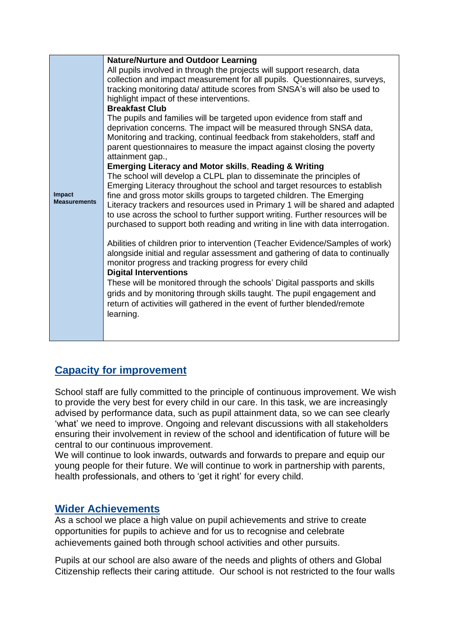| Impact<br><b>Measurements</b> | <b>Nature/Nurture and Outdoor Learning</b><br>All pupils involved in through the projects will support research, data<br>collection and impact measurement for all pupils. Questionnaires, surveys,<br>tracking monitoring data/ attitude scores from SNSA's will also be used to<br>highlight impact of these interventions.<br><b>Breakfast Club</b><br>The pupils and families will be targeted upon evidence from staff and<br>deprivation concerns. The impact will be measured through SNSA data,<br>Monitoring and tracking, continual feedback from stakeholders, staff and<br>parent questionnaires to measure the impact against closing the poverty<br>attainment gap.,<br><b>Emerging Literacy and Motor skills, Reading &amp; Writing</b><br>The school will develop a CLPL plan to disseminate the principles of<br>Emerging Literacy throughout the school and target resources to establish<br>fine and gross motor skills groups to targeted children. The Emerging<br>Literacy trackers and resources used in Primary 1 will be shared and adapted<br>to use across the school to further support writing. Further resources will be<br>purchased to support both reading and writing in line with data interrogation.<br>Abilities of children prior to intervention (Teacher Evidence/Samples of work)<br>alongside initial and regular assessment and gathering of data to continually<br>monitor progress and tracking progress for every child<br><b>Digital Interventions</b><br>These will be monitored through the schools' Digital passports and skills<br>grids and by monitoring through skills taught. The pupil engagement and<br>return of activities will gathered in the event of further blended/remote<br>learning. |
|-------------------------------|---------------------------------------------------------------------------------------------------------------------------------------------------------------------------------------------------------------------------------------------------------------------------------------------------------------------------------------------------------------------------------------------------------------------------------------------------------------------------------------------------------------------------------------------------------------------------------------------------------------------------------------------------------------------------------------------------------------------------------------------------------------------------------------------------------------------------------------------------------------------------------------------------------------------------------------------------------------------------------------------------------------------------------------------------------------------------------------------------------------------------------------------------------------------------------------------------------------------------------------------------------------------------------------------------------------------------------------------------------------------------------------------------------------------------------------------------------------------------------------------------------------------------------------------------------------------------------------------------------------------------------------------------------------------------------------------------------------------------------------------------------|
|-------------------------------|---------------------------------------------------------------------------------------------------------------------------------------------------------------------------------------------------------------------------------------------------------------------------------------------------------------------------------------------------------------------------------------------------------------------------------------------------------------------------------------------------------------------------------------------------------------------------------------------------------------------------------------------------------------------------------------------------------------------------------------------------------------------------------------------------------------------------------------------------------------------------------------------------------------------------------------------------------------------------------------------------------------------------------------------------------------------------------------------------------------------------------------------------------------------------------------------------------------------------------------------------------------------------------------------------------------------------------------------------------------------------------------------------------------------------------------------------------------------------------------------------------------------------------------------------------------------------------------------------------------------------------------------------------------------------------------------------------------------------------------------------------|

## **Capacity for improvement**

School staff are fully committed to the principle of continuous improvement. We wish to provide the very best for every child in our care. In this task, we are increasingly advised by performance data, such as pupil attainment data, so we can see clearly 'what' we need to improve. Ongoing and relevant discussions with all stakeholders ensuring their involvement in review of the school and identification of future will be central to our continuous improvement.

We will continue to look inwards, outwards and forwards to prepare and equip our young people for their future. We will continue to work in partnership with parents, health professionals, and others to 'get it right' for every child.

#### **Wider Achievements**

As a school we place a high value on pupil achievements and strive to create opportunities for pupils to achieve and for us to recognise and celebrate achievements gained both through school activities and other pursuits.

Pupils at our school are also aware of the needs and plights of others and Global Citizenship reflects their caring attitude. Our school is not restricted to the four walls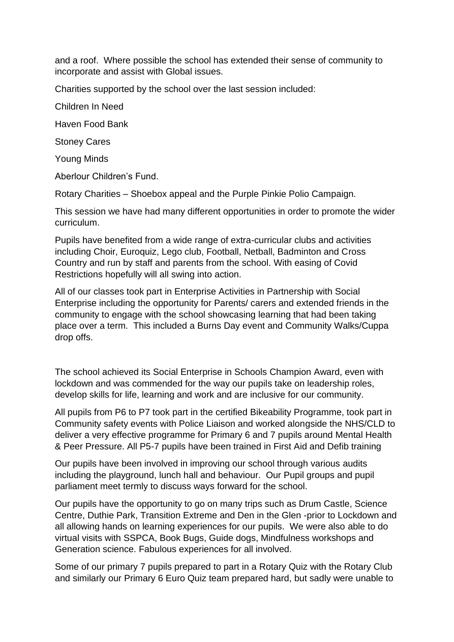and a roof. Where possible the school has extended their sense of community to incorporate and assist with Global issues.

Charities supported by the school over the last session included:

Children In Need

Haven Food Bank

Stoney Cares

Young Minds

Aberlour Children's Fund.

Rotary Charities – Shoebox appeal and the Purple Pinkie Polio Campaign.

This session we have had many different opportunities in order to promote the wider curriculum.

Pupils have benefited from a wide range of extra-curricular clubs and activities including Choir, Euroquiz, Lego club, Football, Netball, Badminton and Cross Country and run by staff and parents from the school. With easing of Covid Restrictions hopefully will all swing into action.

All of our classes took part in Enterprise Activities in Partnership with Social Enterprise including the opportunity for Parents/ carers and extended friends in the community to engage with the school showcasing learning that had been taking place over a term. This included a Burns Day event and Community Walks/Cuppa drop offs.

The school achieved its Social Enterprise in Schools Champion Award, even with lockdown and was commended for the way our pupils take on leadership roles, develop skills for life, learning and work and are inclusive for our community.

All pupils from P6 to P7 took part in the certified Bikeability Programme, took part in Community safety events with Police Liaison and worked alongside the NHS/CLD to deliver a very effective programme for Primary 6 and 7 pupils around Mental Health & Peer Pressure. All P5-7 pupils have been trained in First Aid and Defib training

Our pupils have been involved in improving our school through various audits including the playground, lunch hall and behaviour. Our Pupil groups and pupil parliament meet termly to discuss ways forward for the school.

Our pupils have the opportunity to go on many trips such as Drum Castle, Science Centre, Duthie Park, Transition Extreme and Den in the Glen -prior to Lockdown and all allowing hands on learning experiences for our pupils. We were also able to do virtual visits with SSPCA, Book Bugs, Guide dogs, Mindfulness workshops and Generation science. Fabulous experiences for all involved.

Some of our primary 7 pupils prepared to part in a Rotary Quiz with the Rotary Club and similarly our Primary 6 Euro Quiz team prepared hard, but sadly were unable to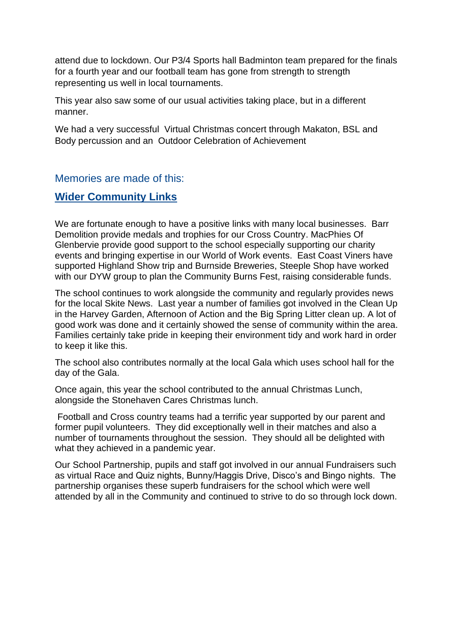attend due to lockdown. Our P3/4 Sports hall Badminton team prepared for the finals for a fourth year and our football team has gone from strength to strength representing us well in local tournaments.

This year also saw some of our usual activities taking place, but in a different manner.

We had a very successful Virtual Christmas concert through Makaton, BSL and Body percussion and an Outdoor Celebration of Achievement

Memories are made of this:

### **Wider Community Links**

We are fortunate enough to have a positive links with many local businesses. Barr Demolition provide medals and trophies for our Cross Country. MacPhies Of Glenbervie provide good support to the school especially supporting our charity events and bringing expertise in our World of Work events. East Coast Viners have supported Highland Show trip and Burnside Breweries, Steeple Shop have worked with our DYW group to plan the Community Burns Fest, raising considerable funds.

The school continues to work alongside the community and regularly provides news for the local Skite News. Last year a number of families got involved in the Clean Up in the Harvey Garden, Afternoon of Action and the Big Spring Litter clean up. A lot of good work was done and it certainly showed the sense of community within the area. Families certainly take pride in keeping their environment tidy and work hard in order to keep it like this.

The school also contributes normally at the local Gala which uses school hall for the day of the Gala.

Once again, this year the school contributed to the annual Christmas Lunch, alongside the Stonehaven Cares Christmas lunch.

Football and Cross country teams had a terrific year supported by our parent and former pupil volunteers. They did exceptionally well in their matches and also a number of tournaments throughout the session. They should all be delighted with what they achieved in a pandemic year.

Our School Partnership, pupils and staff got involved in our annual Fundraisers such as virtual Race and Quiz nights, Bunny/Haggis Drive, Disco's and Bingo nights. The partnership organises these superb fundraisers for the school which were well attended by all in the Community and continued to strive to do so through lock down.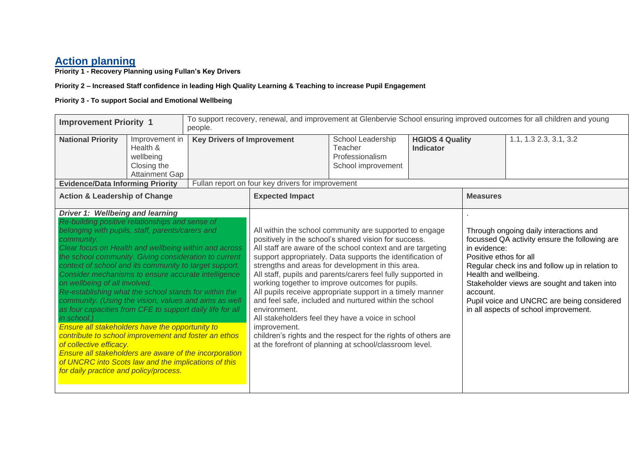#### **Action planning**

**Priority 1 - Recovery Planning using Fullan's Key Drivers**

#### **Priority 2 – Increased Staff confidence in leading High Quality Learning & Teaching to increase Pupil Engagement**

#### **Priority 3 - To support Social and Emotional Wellbeing**

| <b>Improvement Priority 1</b>                                                                                                                                                                                                                                                                                                                                                                                                                                                                                                                                                                                                                                                                                                                                                                                                                                                                                             |                                                                                 | people.                           | To support recovery, renewal, and improvement at Glenbervie School ensuring improved outcomes for all children and young |                                                                                                                                                                                                                                                                                                                                                                                                                                                                                                                                                                                                                                                                                                                                 |  |                                                                             |                                                                                                                                                                                                                                                                                 |
|---------------------------------------------------------------------------------------------------------------------------------------------------------------------------------------------------------------------------------------------------------------------------------------------------------------------------------------------------------------------------------------------------------------------------------------------------------------------------------------------------------------------------------------------------------------------------------------------------------------------------------------------------------------------------------------------------------------------------------------------------------------------------------------------------------------------------------------------------------------------------------------------------------------------------|---------------------------------------------------------------------------------|-----------------------------------|--------------------------------------------------------------------------------------------------------------------------|---------------------------------------------------------------------------------------------------------------------------------------------------------------------------------------------------------------------------------------------------------------------------------------------------------------------------------------------------------------------------------------------------------------------------------------------------------------------------------------------------------------------------------------------------------------------------------------------------------------------------------------------------------------------------------------------------------------------------------|--|-----------------------------------------------------------------------------|---------------------------------------------------------------------------------------------------------------------------------------------------------------------------------------------------------------------------------------------------------------------------------|
| <b>National Priority</b>                                                                                                                                                                                                                                                                                                                                                                                                                                                                                                                                                                                                                                                                                                                                                                                                                                                                                                  | Improvement in<br>Health &<br>wellbeing<br>Closing the<br><b>Attainment Gap</b> | <b>Key Drivers of Improvement</b> | School Leadership<br><b>HGIOS 4 Quality</b><br>Teacher<br><b>Indicator</b><br>Professionalism<br>School improvement      |                                                                                                                                                                                                                                                                                                                                                                                                                                                                                                                                                                                                                                                                                                                                 |  | 1.1, 1.3 2.3, 3.1, 3.2                                                      |                                                                                                                                                                                                                                                                                 |
| <b>Evidence/Data Informing Priority</b>                                                                                                                                                                                                                                                                                                                                                                                                                                                                                                                                                                                                                                                                                                                                                                                                                                                                                   |                                                                                 |                                   | Fullan report on four key drivers for improvement                                                                        |                                                                                                                                                                                                                                                                                                                                                                                                                                                                                                                                                                                                                                                                                                                                 |  |                                                                             |                                                                                                                                                                                                                                                                                 |
| <b>Action &amp; Leadership of Change</b>                                                                                                                                                                                                                                                                                                                                                                                                                                                                                                                                                                                                                                                                                                                                                                                                                                                                                  |                                                                                 |                                   | <b>Expected Impact</b>                                                                                                   |                                                                                                                                                                                                                                                                                                                                                                                                                                                                                                                                                                                                                                                                                                                                 |  | <b>Measures</b>                                                             |                                                                                                                                                                                                                                                                                 |
| Driver 1: Wellbeing and learning<br>Re-building positive relationships and sense of<br>belonging with pupils, staff, parents/carers and<br>community.<br>Clear focus on Health and wellbeing within and across<br>the school community. Giving consideration to current<br>context of school and its community to target support.<br>Consider mechanisms to ensure accurate intelligence<br>on wellbeing of all involved.<br>Re-establishing what the school stands for within the<br>community. (Using the vision, values and aims as well<br>as four capacities from CFE to support daily life for all<br>in school.)<br>Ensure all stakeholders have the opportunity to<br>contribute to school improvement and foster an ethos<br>of collective efficacy.<br>Ensure all stakeholders are aware of the incorporation<br>of UNCRC into Scots law and the implications of this<br>for daily practice and policy/process. |                                                                                 |                                   | environment.<br>improvement.                                                                                             | All within the school community are supported to engage<br>positively in the school's shared vision for success.<br>All staff are aware of the school context and are targeting<br>support appropriately. Data supports the identification of<br>strengths and areas for development in this area.<br>All staff, pupils and parents/carers feel fully supported in<br>working together to improve outcomes for pupils.<br>All pupils receive appropriate support in a timely manner<br>and feel safe, included and nurtured within the school<br>All stakeholders feel they have a voice in school<br>children's rights and the respect for the rights of others are<br>at the forefront of planning at school/classroom level. |  | in evidence:<br>Positive ethos for all<br>Health and wellbeing.<br>account. | Through ongoing daily interactions and<br>focussed QA activity ensure the following are<br>Regular check ins and follow up in relation to<br>Stakeholder views are sought and taken into<br>Pupil voice and UNCRC are being considered<br>in all aspects of school improvement. |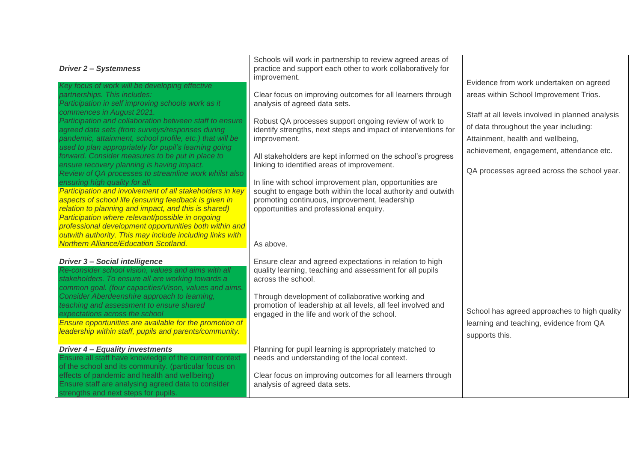| <b>Driver 2 - Systemness</b><br>Key focus of work will be developing effective                                                                                                                                                                                                                                                                                                                                                        | Schools will work in partnership to review agreed areas of<br>practice and support each other to work collaboratively for<br>improvement.                                                                                                             | Evidence from work undertaken on agreed                                                                                                                                                                                    |
|---------------------------------------------------------------------------------------------------------------------------------------------------------------------------------------------------------------------------------------------------------------------------------------------------------------------------------------------------------------------------------------------------------------------------------------|-------------------------------------------------------------------------------------------------------------------------------------------------------------------------------------------------------------------------------------------------------|----------------------------------------------------------------------------------------------------------------------------------------------------------------------------------------------------------------------------|
| partnerships. This includes:<br>Participation in self improving schools work as it                                                                                                                                                                                                                                                                                                                                                    | Clear focus on improving outcomes for all learners through<br>analysis of agreed data sets.                                                                                                                                                           | areas within School Improvement Trios.                                                                                                                                                                                     |
| commences in August 2021.<br>Participation and collaboration between staff to ensure<br>agreed data sets (from surveys/responses during<br>pandemic, attainment, school profile, etc.) that will be<br>used to plan appropriately for pupil's learning going<br>forward. Consider measures to be put in place to<br>ensure recovery planning is having impact.<br>Review of QA processes to streamline work whilst also               | Robust QA processes support ongoing review of work to<br>identify strengths, next steps and impact of interventions for<br>improvement.<br>All stakeholders are kept informed on the school's progress<br>linking to identified areas of improvement. | Staff at all levels involved in planned analysis<br>of data throughout the year including:<br>Attainment, health and wellbeing,<br>achievement, engagement, attendance etc.<br>QA processes agreed across the school year. |
| ensuring high quality for all.<br>Participation and involvement of all stakeholders in key<br>aspects of school life (ensuring feedback is given in<br>relation to planning and impact, and this is shared)<br>Participation where relevant/possible in ongoing<br>professional development opportunities both within and<br>outwith authority. This may include including links with<br><b>Northern Alliance/Education Scotland.</b> | In line with school improvement plan, opportunities are<br>sought to engage both within the local authority and outwith<br>promoting continuous, improvement, leadership<br>opportunities and professional enquiry.<br>As above.                      |                                                                                                                                                                                                                            |
| <b>Driver 3- Social intelligence</b><br>Re-consider school vision, values and aims with all<br>stakeholders. To ensure all are working towards a<br>common goal. (four capacities/Vison, values and aims.                                                                                                                                                                                                                             | Ensure clear and agreed expectations in relation to high<br>quality learning, teaching and assessment for all pupils<br>across the school.                                                                                                            |                                                                                                                                                                                                                            |
| Consider Aberdeenshire approach to learning,<br>teaching and assessment to ensure shared<br>expectations across the school<br>Ensure opportunities are available for the promotion of<br>leadership within staff, pupils and parents/community.                                                                                                                                                                                       | Through development of collaborative working and<br>promotion of leadership at all levels, all feel involved and<br>engaged in the life and work of the school.                                                                                       | School has agreed approaches to high quality<br>learning and teaching, evidence from QA<br>supports this.                                                                                                                  |
| <b>Driver 4 - Equality investments</b><br>Ensure all staff have knowledge of the current context                                                                                                                                                                                                                                                                                                                                      | Planning for pupil learning is appropriately matched to<br>needs and understanding of the local context.                                                                                                                                              |                                                                                                                                                                                                                            |
| of the school and its community. (particular focus on<br>effects of pandemic and health and wellbeing)<br>Ensure staff are analysing agreed data to consider<br>strengths and next steps for pupils.                                                                                                                                                                                                                                  | Clear focus on improving outcomes for all learners through<br>analysis of agreed data sets.                                                                                                                                                           |                                                                                                                                                                                                                            |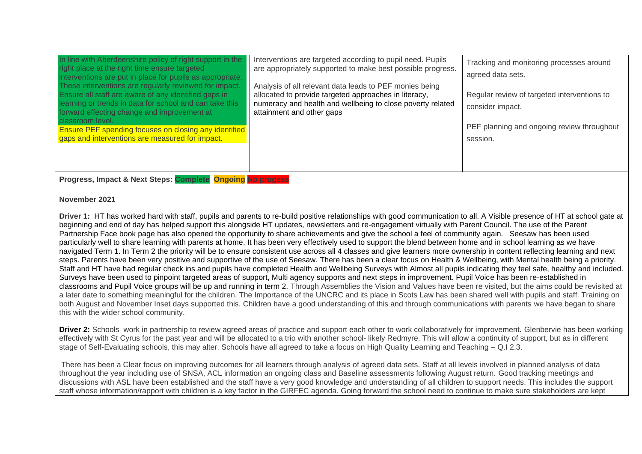| In line with Aberdeenshire policy of right support in the<br>right place at the right time ensure targeted<br>interventions are put in place for pupils as appropriate.<br>These interventions are regularly reviewed for impact.<br>Ensure all staff are aware of any identified gaps in<br>learning or trends in data for school and can take this<br>forward effecting change and improvement at<br>classroom level.<br><b>Ensure PEF spending focuses on closing any identified</b><br>gaps and interventions are measured for impact. | Interventions are targeted according to pupil need. Pupils<br>are appropriately supported to make best possible progress.<br>Analysis of all relevant data leads to PEF monies being<br>allocated to provide targeted approaches in literacy,<br>numeracy and health and wellbeing to close poverty related<br>attainment and other gaps | Tracking and monitoring processes around<br>agreed data sets.<br>Regular review of targeted interventions to<br>consider impact.<br>PEF planning and ongoing review throughout<br>session. |
|--------------------------------------------------------------------------------------------------------------------------------------------------------------------------------------------------------------------------------------------------------------------------------------------------------------------------------------------------------------------------------------------------------------------------------------------------------------------------------------------------------------------------------------------|------------------------------------------------------------------------------------------------------------------------------------------------------------------------------------------------------------------------------------------------------------------------------------------------------------------------------------------|--------------------------------------------------------------------------------------------------------------------------------------------------------------------------------------------|
|--------------------------------------------------------------------------------------------------------------------------------------------------------------------------------------------------------------------------------------------------------------------------------------------------------------------------------------------------------------------------------------------------------------------------------------------------------------------------------------------------------------------------------------------|------------------------------------------------------------------------------------------------------------------------------------------------------------------------------------------------------------------------------------------------------------------------------------------------------------------------------------------|--------------------------------------------------------------------------------------------------------------------------------------------------------------------------------------------|

**Progress, Impact & Next Steps: Complete Ongoing No progess**

#### **November 2021**

**Driver 1:** HT has worked hard with staff, pupils and parents to re-build positive relationships with good communication to all. A Visible presence of HT at school gate at beginning and end of day has helped support this alongside HT updates, newsletters and re-engagement virtually with Parent Council. The use of the Parent Partnership Face book page has also opened the opportunity to share achievements and give the school a feel of community again. Seesaw has been used particularly well to share learning with parents at home. It has been very effectively used to support the blend between home and in school learning as we have navigated Term 1. In Term 2 the priority will be to ensure consistent use across all 4 classes and give learners more ownership in content reflecting learning and next steps. Parents have been very positive and supportive of the use of Seesaw. There has been a clear focus on Health & Wellbeing, with Mental health being a priority. Staff and HT have had regular check ins and pupils have completed Health and Wellbeing Surveys with Almost all pupils indicating they feel safe, healthy and included. Surveys have been used to pinpoint targeted areas of support, Multi agency supports and next steps in improvement. Pupil Voice has been re-established in classrooms and Pupil Voice groups will be up and running in term 2. Through Assemblies the Vision and Values have been re visited, but the aims could be revisited at a later date to something meaningful for the children. The Importance of the UNCRC and its place in Scots Law has been shared well with pupils and staff. Training on both August and November Inset days supported this. Children have a good understanding of this and through communications with parents we have began to share this with the wider school community.

**Driver 2:** Schools work in partnership to review agreed areas of practice and support each other to work collaboratively for improvement. Glenbervie has been working effectively with St Cyrus for the past year and will be allocated to a trio with another school- likely Redmyre. This will allow a continuity of support, but as in different stage of Self-Evaluating schools, this may alter. Schools have all agreed to take a focus on High Quality Learning and Teaching – Q.I 2.3.

There has been a Clear focus on improving outcomes for all learners through analysis of agreed data sets. Staff at all levels involved in planned analysis of data throughout the year including use of SNSA, ACL information an ongoing class and Baseline assessments following August return. Good tracking meetings and discussions with ASL have been established and the staff have a very good knowledge and understanding of all children to support needs. This includes the support staff whose information/rapport with children is a key factor in the GIRFEC agenda. Going forward the school need to continue to make sure stakeholders are kept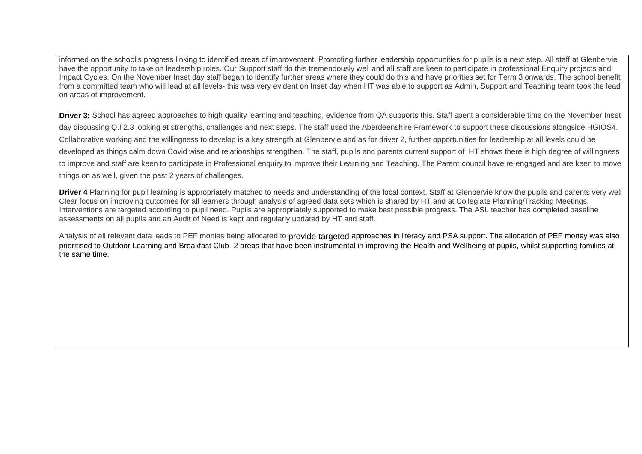informed on the school's progress linking to identified areas of improvement. Promoting further leadership opportunities for pupils is a next step. All staff at Glenbervie have the opportunity to take on leadership roles. Our Support staff do this tremendously well and all staff are keen to participate in professional Enquiry projects and Impact Cycles. On the November Inset day staff began to identify further areas where they could do this and have priorities set for Term 3 onwards. The school benefit from a committed team who will lead at all levels- this was very evident on Inset day when HT was able to support as Admin, Support and Teaching team took the lead on areas of improvement.

**Driver 3:** School has agreed approaches to high quality learning and teaching, evidence from QA supports this. Staff spent a considerable time on the November Inset day discussing Q.I 2.3 looking at strengths, challenges and next steps. The staff used the Aberdeenshire Framework to support these discussions alongside HGIOS4. Collaborative working and the willingness to develop is a key strength at Glenbervie and as for driver 2, further opportunities for leadership at all levels could be developed as things calm down Covid wise and relationships strengthen. The staff, pupils and parents current support of HT shows there is high degree of willingness to improve and staff are keen to participate in Professional enquiry to improve their Learning and Teaching. The Parent council have re-engaged and are keen to move things on as well, given the past 2 years of challenges.

**Driver 4** Planning for pupil learning is appropriately matched to needs and understanding of the local context. Staff at Glenbervie know the pupils and parents very well Clear focus on improving outcomes for all learners through analysis of agreed data sets which is shared by HT and at Collegiate Planning/Tracking Meetings. Interventions are targeted according to pupil need. Pupils are appropriately supported to make best possible progress. The ASL teacher has completed baseline assessments on all pupils and an Audit of Need is kept and regularly updated by HT and staff.

Analysis of all relevant data leads to PEF monies being allocated to provide targeted approaches in literacy and PSA support. The allocation of PEF money was also prioritised to Outdoor Learning and Breakfast Club- 2 areas that have been instrumental in improving the Health and Wellbeing of pupils, whilst supporting families at the same time.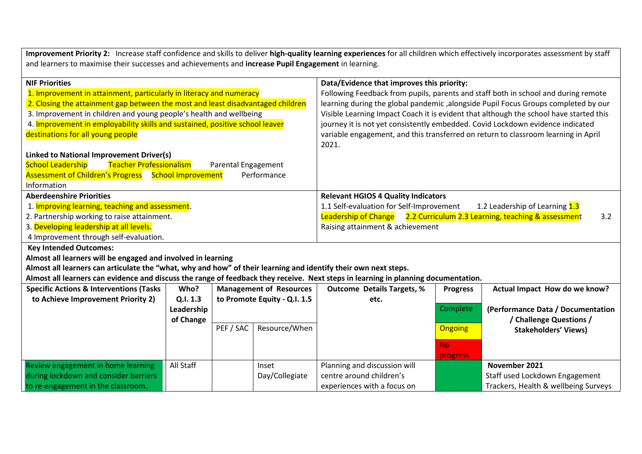**Improvement Priority 2:** Increase staff confidence and skills to deliver **high-quality learning experiences** for all children which effectively incorporates assessment by staff and learners to maximise their successes and achievements and **increase Pupil Engagement** in learning.

| <b>NIF Priorities</b><br>Data/Evidence that improves this priority:                                                                |  |  |  |
|------------------------------------------------------------------------------------------------------------------------------------|--|--|--|
| Following Feedback from pupils, parents and staff both in school and during remote                                                 |  |  |  |
| learning during the global pandemic, alongside Pupil Focus Groups completed by our                                                 |  |  |  |
| Visible Learning Impact Coach it is evident that although the school have started this                                             |  |  |  |
| journey it is not yet consistently embedded. Covid Lockdown evidence indicated                                                     |  |  |  |
| variable engagement, and this transferred on return to classroom learning in April                                                 |  |  |  |
| 2021.                                                                                                                              |  |  |  |
|                                                                                                                                    |  |  |  |
|                                                                                                                                    |  |  |  |
|                                                                                                                                    |  |  |  |
|                                                                                                                                    |  |  |  |
| <b>Relevant HGIOS 4 Quality Indicators</b>                                                                                         |  |  |  |
| 1.2 Leadership of Learning 1.3<br>1.1 Self-evaluation for Self-Improvement                                                         |  |  |  |
| <b>Leadership of Change</b><br>2.2 Curriculum 2.3 Learning, teaching & assessment<br>3.2                                           |  |  |  |
| Raising attainment & achievement                                                                                                   |  |  |  |
|                                                                                                                                    |  |  |  |
|                                                                                                                                    |  |  |  |
| <b>Key Intended Outcomes:</b><br>Almost all learners will be engaged and involved in learning                                      |  |  |  |
| Almost all learners can articulate the "what, why and how" of their learning and identify their own next steps.                    |  |  |  |
| Almost all learners can evidence and discuss the range of feedback they receive. Next steps in learning in planning documentation. |  |  |  |
| <b>Management of Resources</b><br><b>Outcome Details Targets, %</b><br>Actual Impact How do we know?<br><b>Progress</b>            |  |  |  |
| to Promote Equity - Q.I. 1.5<br>etc.                                                                                               |  |  |  |
| Complete<br>(Performance Data / Documentation                                                                                      |  |  |  |
| / Challenge Questions /                                                                                                            |  |  |  |
| Resource/When<br><b>Ongoing</b><br><b>Stakeholders' Views)</b>                                                                     |  |  |  |
| <b>No</b>                                                                                                                          |  |  |  |
| progress                                                                                                                           |  |  |  |
| Planning and discussion will<br>November 2021                                                                                      |  |  |  |
| centre around children's<br>Staff used Lockdown Engagement                                                                         |  |  |  |
| Trackers, Health & wellbeing Surveys<br>experiences with a focus on                                                                |  |  |  |
|                                                                                                                                    |  |  |  |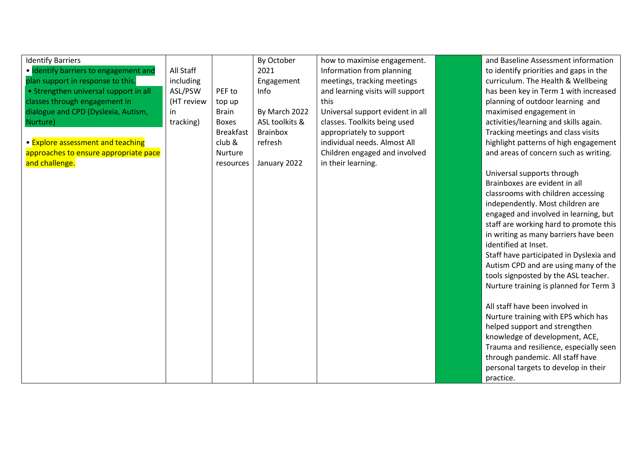| <b>Identify Barriers</b>              |            |                  | By October      | how to maximise engagement.      | and Baseline Assessment information     |
|---------------------------------------|------------|------------------|-----------------|----------------------------------|-----------------------------------------|
| · Identify barriers to engagement and | All Staff  |                  | 2021            | Information from planning        | to identify priorities and gaps in the  |
| plan support in response to this.     | including  |                  | Engagement      | meetings, tracking meetings      | curriculum. The Health & Wellbeing      |
| • Strengthen universal support in all | ASL/PSW    | PEF to           | Info            | and learning visits will support | has been key in Term 1 with increased   |
| classes through engagement in         | (HT review | top up           |                 | this                             | planning of outdoor learning and        |
| dialogue and CPD (Dyslexia, Autism,   | in.        | <b>Brain</b>     | By March 2022   | Universal support evident in all | maximised engagement in                 |
| Nurture)                              | tracking)  | <b>Boxes</b>     | ASL toolkits &  | classes. Toolkits being used     | activities/learning and skills again.   |
|                                       |            | <b>Breakfast</b> | <b>Brainbox</b> | appropriately to support         | Tracking meetings and class visits      |
| • Explore assessment and teaching     |            | club &           | refresh         | individual needs. Almost All     | highlight patterns of high engagement   |
| approaches to ensure appropriate pace |            | Nurture          |                 | Children engaged and involved    | and areas of concern such as writing.   |
| and challenge.                        |            | resources        | January 2022    | in their learning.               |                                         |
|                                       |            |                  |                 |                                  | Universal supports through              |
|                                       |            |                  |                 |                                  | Brainboxes are evident in all           |
|                                       |            |                  |                 |                                  | classrooms with children accessing      |
|                                       |            |                  |                 |                                  | independently. Most children are        |
|                                       |            |                  |                 |                                  | engaged and involved in learning, but   |
|                                       |            |                  |                 |                                  | staff are working hard to promote this  |
|                                       |            |                  |                 |                                  | in writing as many barriers have been   |
|                                       |            |                  |                 |                                  | identified at Inset.                    |
|                                       |            |                  |                 |                                  | Staff have participated in Dyslexia and |
|                                       |            |                  |                 |                                  | Autism CPD and are using many of the    |
|                                       |            |                  |                 |                                  | tools signposted by the ASL teacher.    |
|                                       |            |                  |                 |                                  | Nurture training is planned for Term 3  |
|                                       |            |                  |                 |                                  |                                         |
|                                       |            |                  |                 |                                  | All staff have been involved in         |
|                                       |            |                  |                 |                                  | Nurture training with EPS which has     |
|                                       |            |                  |                 |                                  | helped support and strengthen           |
|                                       |            |                  |                 |                                  | knowledge of development, ACE,          |
|                                       |            |                  |                 |                                  | Trauma and resilience, especially seen  |
|                                       |            |                  |                 |                                  | through pandemic. All staff have        |
|                                       |            |                  |                 |                                  | personal targets to develop in their    |
|                                       |            |                  |                 |                                  | practice.                               |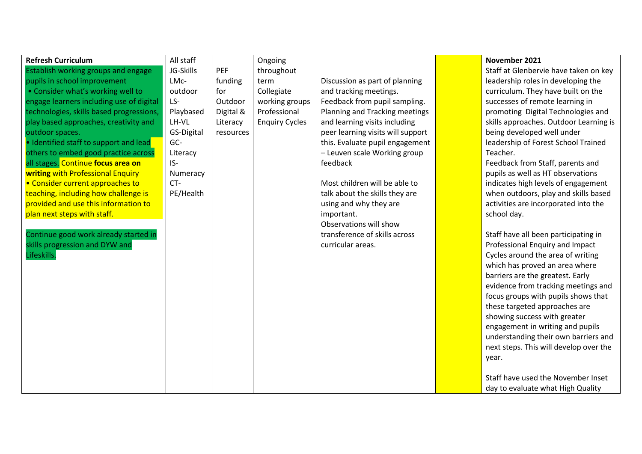| <b>Refresh Curriculum</b>                | All staff  |           | Ongoing               |                                   | November 2021                          |
|------------------------------------------|------------|-----------|-----------------------|-----------------------------------|----------------------------------------|
| Establish working groups and engage      | JG-Skills  | PEF       | throughout            |                                   | Staff at Glenbervie have taken on key  |
| pupils in school improvement             | LMc-       | funding   | term                  | Discussion as part of planning    | leadership roles in developing the     |
| • Consider what's working well to        | outdoor    | for       | Collegiate            | and tracking meetings.            | curriculum. They have built on the     |
| engage learners including use of digital | LS-        | Outdoor   | working groups        | Feedback from pupil sampling.     | successes of remote learning in        |
| technologies, skills based progressions, | Playbased  | Digital & | Professional          | Planning and Tracking meetings    | promoting Digital Technologies and     |
| play based approaches, creativity and    | LH-VL      | Literacy  | <b>Enquiry Cycles</b> | and learning visits including     | skills approaches. Outdoor Learning is |
| outdoor spaces.                          | GS-Digital | resources |                       | peer learning visits will support | being developed well under             |
| · Identified staff to support and lead   | GC-        |           |                       | this. Evaluate pupil engagement   | leadership of Forest School Trained    |
| others to embed good practice across     | Literacy   |           |                       | - Leuven scale Working group      | Teacher.                               |
| all stages. Continue focus area on       | IS-        |           |                       | feedback                          | Feedback from Staff, parents and       |
| writing with Professional Enquiry        | Numeracy   |           |                       |                                   | pupils as well as HT observations      |
| • Consider current approaches to         | CT-        |           |                       | Most children will be able to     | indicates high levels of engagement    |
| teaching, including how challenge is     | PE/Health  |           |                       | talk about the skills they are    | when outdoors, play and skills based   |
| provided and use this information to     |            |           |                       | using and why they are            | activities are incorporated into the   |
| plan next steps with staff.              |            |           |                       | important.                        | school day.                            |
|                                          |            |           |                       | Observations will show            |                                        |
| Continue good work already started in    |            |           |                       | transference of skills across     | Staff have all been participating in   |
| skills progression and DYW and           |            |           |                       | curricular areas.                 | Professional Enquiry and Impact        |
| Lifeskills.                              |            |           |                       |                                   | Cycles around the area of writing      |
|                                          |            |           |                       |                                   | which has proved an area where         |
|                                          |            |           |                       |                                   | barriers are the greatest. Early       |
|                                          |            |           |                       |                                   | evidence from tracking meetings and    |
|                                          |            |           |                       |                                   | focus groups with pupils shows that    |
|                                          |            |           |                       |                                   | these targeted approaches are          |
|                                          |            |           |                       |                                   | showing success with greater           |
|                                          |            |           |                       |                                   | engagement in writing and pupils       |
|                                          |            |           |                       |                                   | understanding their own barriers and   |
|                                          |            |           |                       |                                   | next steps. This will develop over the |
|                                          |            |           |                       |                                   | year.                                  |
|                                          |            |           |                       |                                   |                                        |
|                                          |            |           |                       |                                   | Staff have used the November Inset     |
|                                          |            |           |                       |                                   | day to evaluate what High Quality      |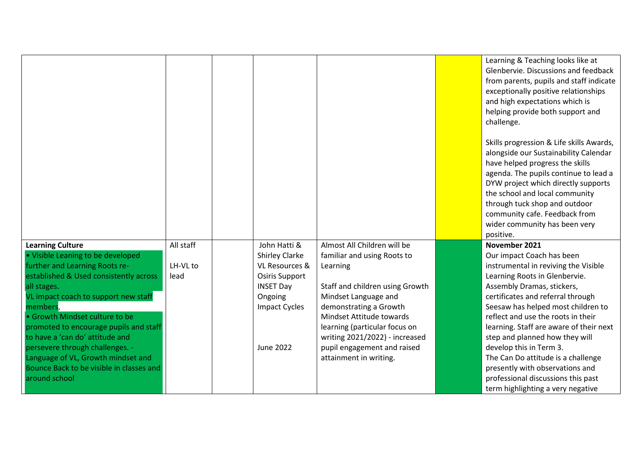|                                                                           |           |                       |                                                               | Learning & Teaching looks like at<br>Glenbervie. Discussions and feedback<br>from parents, pupils and staff indicate<br>exceptionally positive relationships<br>and high expectations which is<br>helping provide both support and<br>challenge.                                                                                                       |
|---------------------------------------------------------------------------|-----------|-----------------------|---------------------------------------------------------------|--------------------------------------------------------------------------------------------------------------------------------------------------------------------------------------------------------------------------------------------------------------------------------------------------------------------------------------------------------|
|                                                                           |           |                       |                                                               | Skills progression & Life skills Awards,<br>alongside our Sustainability Calendar<br>have helped progress the skills<br>agenda. The pupils continue to lead a<br>DYW project which directly supports<br>the school and local community<br>through tuck shop and outdoor<br>community cafe. Feedback from<br>wider community has been very<br>positive. |
| <b>Learning Culture</b>                                                   | All staff | John Hatti &          | Almost All Children will be                                   | November 2021                                                                                                                                                                                                                                                                                                                                          |
| . Visible Leaning to be developed                                         |           | <b>Shirley Clarke</b> | familiar and using Roots to                                   | Our impact Coach has been                                                                                                                                                                                                                                                                                                                              |
| further and Learning Roots re-                                            | LH-VL to  | VL Resources &        | Learning                                                      | instrumental in reviving the Visible                                                                                                                                                                                                                                                                                                                   |
| established & Used consistently across                                    | lead      | <b>Osiris Support</b> |                                                               | Learning Roots in Glenbervie.                                                                                                                                                                                                                                                                                                                          |
| all stages.                                                               |           | <b>INSET Day</b>      | Staff and children using Growth                               | Assembly Dramas, stickers,                                                                                                                                                                                                                                                                                                                             |
| VL impact coach to support new staff                                      |           | Ongoing               | Mindset Language and                                          | certificates and referral through                                                                                                                                                                                                                                                                                                                      |
| members,                                                                  |           | <b>Impact Cycles</b>  | demonstrating a Growth                                        | Seesaw has helped most children to                                                                                                                                                                                                                                                                                                                     |
| • Growth Mindset culture to be                                            |           |                       | Mindset Attitude towards                                      | reflect and use the roots in their                                                                                                                                                                                                                                                                                                                     |
| promoted to encourage pupils and staff<br>to have a 'can do' attitude and |           |                       | learning (particular focus on                                 | learning. Staff are aware of their next                                                                                                                                                                                                                                                                                                                |
| persevere through challenges. -                                           |           | <b>June 2022</b>      | writing 2021/2022) - increased<br>pupil engagement and raised | step and planned how they will<br>develop this in Term 3.                                                                                                                                                                                                                                                                                              |
| Language of VL, Growth mindset and                                        |           |                       | attainment in writing.                                        | The Can Do attitude is a challenge                                                                                                                                                                                                                                                                                                                     |
| Bounce Back to be visible in classes and                                  |           |                       |                                                               | presently with observations and                                                                                                                                                                                                                                                                                                                        |
| around school                                                             |           |                       |                                                               | professional discussions this past                                                                                                                                                                                                                                                                                                                     |
|                                                                           |           |                       |                                                               | term highlighting a very negative                                                                                                                                                                                                                                                                                                                      |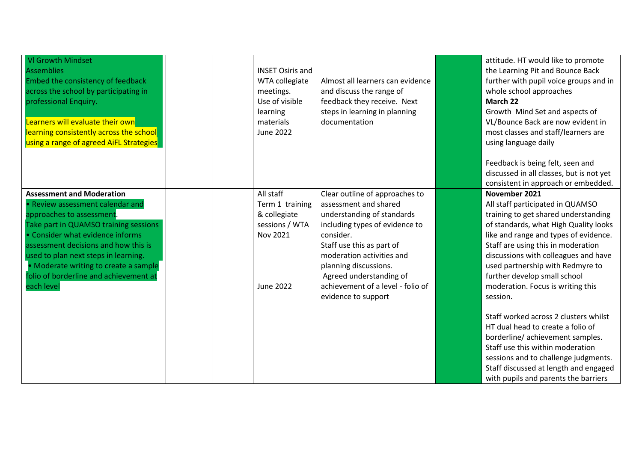| <b>VI Growth Mindset</b><br><b>Assemblies</b><br>Embed the consistency of feedback<br>across the school by participating in<br>professional Enquiry.<br>Learners will evaluate their own<br>learning consistently across the school<br>using a range of agreed AiFL Strategies                                                                                  | <b>INSET Osiris and</b><br>WTA collegiate<br>meetings.<br>Use of visible<br>learning<br>materials<br><b>June 2022</b> | Almost all learners can evidence<br>and discuss the range of<br>feedback they receive. Next<br>steps in learning in planning<br>documentation                                                                                                                                                                  | attitude. HT would like to promote<br>the Learning Pit and Bounce Back<br>further with pupil voice groups and in<br>whole school approaches<br>March 22<br>Growth Mind Set and aspects of<br>VL/Bounce Back are now evident in<br>most classes and staff/learners are<br>using language daily                                                                                  |
|-----------------------------------------------------------------------------------------------------------------------------------------------------------------------------------------------------------------------------------------------------------------------------------------------------------------------------------------------------------------|-----------------------------------------------------------------------------------------------------------------------|----------------------------------------------------------------------------------------------------------------------------------------------------------------------------------------------------------------------------------------------------------------------------------------------------------------|--------------------------------------------------------------------------------------------------------------------------------------------------------------------------------------------------------------------------------------------------------------------------------------------------------------------------------------------------------------------------------|
|                                                                                                                                                                                                                                                                                                                                                                 |                                                                                                                       |                                                                                                                                                                                                                                                                                                                | Feedback is being felt, seen and<br>discussed in all classes, but is not yet<br>consistent in approach or embedded.                                                                                                                                                                                                                                                            |
| <b>Assessment and Moderation</b><br>• Review assessment calendar and<br>approaches to assessment.<br>Take part in QUAMSO training sessions<br>• Consider what evidence informs<br>assessment decisions and how this is<br>used to plan next steps in learning.<br>• Moderate writing to create a sample<br>folio of borderline and achievement at<br>each level | All staff<br>Term 1 training<br>& collegiate<br>sessions / WTA<br>Nov 2021<br><b>June 2022</b>                        | Clear outline of approaches to<br>assessment and shared<br>understanding of standards<br>including types of evidence to<br>consider.<br>Staff use this as part of<br>moderation activities and<br>planning discussions.<br>Agreed understanding of<br>achievement of a level - folio of<br>evidence to support | November 2021<br>All staff participated in QUAMSO<br>training to get shared understanding<br>of standards, what High Quality looks<br>like and range and types of evidence.<br>Staff are using this in moderation<br>discussions with colleagues and have<br>used partnership with Redmyre to<br>further develop small school<br>moderation. Focus is writing this<br>session. |
|                                                                                                                                                                                                                                                                                                                                                                 |                                                                                                                       |                                                                                                                                                                                                                                                                                                                | Staff worked across 2 clusters whilst<br>HT dual head to create a folio of<br>borderline/ achievement samples.<br>Staff use this within moderation<br>sessions and to challenge judgments.<br>Staff discussed at length and engaged<br>with pupils and parents the barriers                                                                                                    |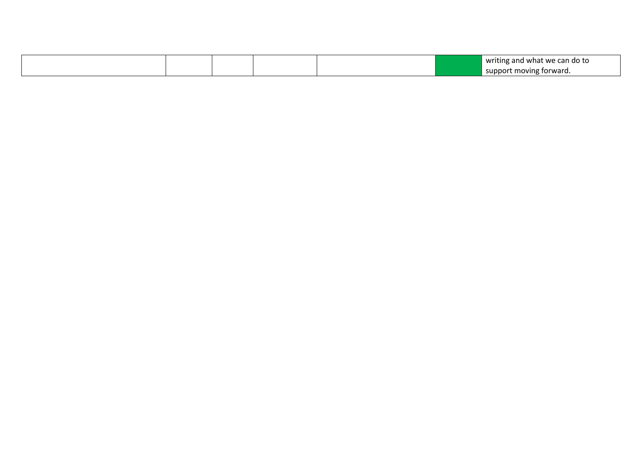|  |  |  | .<br>writing and what we can do to |
|--|--|--|------------------------------------|
|  |  |  | support moving forward.            |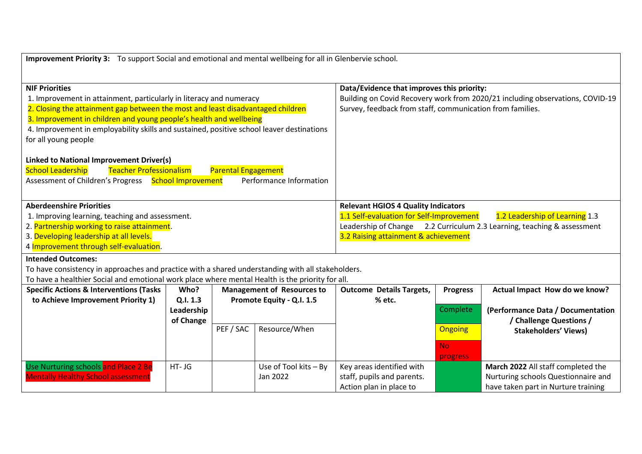**Improvement Priority 3:** To support Social and emotional and mental wellbeing for all in Glenbervie school.

| <b>NIF Priorities</b><br>1. Improvement in attainment, particularly in literacy and numeracy<br>2. Closing the attainment gap between the most and least disadvantaged children<br>3. Improvement in children and young people's health and wellbeing<br>4. Improvement in employability skills and sustained, positive school leaver destinations<br>for all young people<br><b>Linked to National Improvement Driver(s)</b><br><b>Teacher Professionalism</b><br><b>Parental Engagement</b><br><b>School Leadership</b><br>Assessment of Children's Progress School Improvement<br>Performance Information |            |           |                                   | Data/Evidence that improves this priority:<br>Building on Covid Recovery work from 2020/21 including observations, COVID-19<br>Survey, feedback from staff, communication from families. |                 |                                     |  |  |
|--------------------------------------------------------------------------------------------------------------------------------------------------------------------------------------------------------------------------------------------------------------------------------------------------------------------------------------------------------------------------------------------------------------------------------------------------------------------------------------------------------------------------------------------------------------------------------------------------------------|------------|-----------|-----------------------------------|------------------------------------------------------------------------------------------------------------------------------------------------------------------------------------------|-----------------|-------------------------------------|--|--|
| <b>Aberdeenshire Priorities</b>                                                                                                                                                                                                                                                                                                                                                                                                                                                                                                                                                                              |            |           |                                   | <b>Relevant HGIOS 4 Quality Indicators</b>                                                                                                                                               |                 |                                     |  |  |
| 1. Improving learning, teaching and assessment.                                                                                                                                                                                                                                                                                                                                                                                                                                                                                                                                                              |            |           |                                   | 1.1 Self-evaluation for Self-Improvement<br>1.2 Leadership of Learning 1.3                                                                                                               |                 |                                     |  |  |
| 2. Partnership working to raise attainment.                                                                                                                                                                                                                                                                                                                                                                                                                                                                                                                                                                  |            |           |                                   | Leadership of Change 2.2 Curriculum 2.3 Learning, teaching & assessment                                                                                                                  |                 |                                     |  |  |
| 3. Developing leadership at all levels.                                                                                                                                                                                                                                                                                                                                                                                                                                                                                                                                                                      |            |           |                                   | 3.2 Raising attainment & achievement                                                                                                                                                     |                 |                                     |  |  |
| 4 Improvement through self-evaluation.                                                                                                                                                                                                                                                                                                                                                                                                                                                                                                                                                                       |            |           |                                   |                                                                                                                                                                                          |                 |                                     |  |  |
| <b>Intended Outcomes:</b>                                                                                                                                                                                                                                                                                                                                                                                                                                                                                                                                                                                    |            |           |                                   |                                                                                                                                                                                          |                 |                                     |  |  |
| To have consistency in approaches and practice with a shared understanding with all stakeholders.                                                                                                                                                                                                                                                                                                                                                                                                                                                                                                            |            |           |                                   |                                                                                                                                                                                          |                 |                                     |  |  |
| To have a healthier Social and emotional work place where mental Health is the priority for all.                                                                                                                                                                                                                                                                                                                                                                                                                                                                                                             |            |           |                                   |                                                                                                                                                                                          |                 |                                     |  |  |
| <b>Specific Actions &amp; Interventions (Tasks</b>                                                                                                                                                                                                                                                                                                                                                                                                                                                                                                                                                           | Who?       |           | <b>Management of Resources to</b> | <b>Outcome Details Targets,</b>                                                                                                                                                          | <b>Progress</b> | Actual Impact How do we know?       |  |  |
| to Achieve Improvement Priority 1)                                                                                                                                                                                                                                                                                                                                                                                                                                                                                                                                                                           | Q.I. 1.3   |           | Promote Equity - Q.I. 1.5         | % etc.                                                                                                                                                                                   |                 |                                     |  |  |
|                                                                                                                                                                                                                                                                                                                                                                                                                                                                                                                                                                                                              | Leadership |           |                                   |                                                                                                                                                                                          | Complete        | (Performance Data / Documentation   |  |  |
|                                                                                                                                                                                                                                                                                                                                                                                                                                                                                                                                                                                                              | of Change  |           |                                   |                                                                                                                                                                                          |                 | / Challenge Questions /             |  |  |
|                                                                                                                                                                                                                                                                                                                                                                                                                                                                                                                                                                                                              |            | PEF / SAC | Resource/When                     |                                                                                                                                                                                          | Ongoing         | <b>Stakeholders' Views)</b>         |  |  |
|                                                                                                                                                                                                                                                                                                                                                                                                                                                                                                                                                                                                              |            |           |                                   |                                                                                                                                                                                          |                 |                                     |  |  |
|                                                                                                                                                                                                                                                                                                                                                                                                                                                                                                                                                                                                              |            |           |                                   |                                                                                                                                                                                          | No.             |                                     |  |  |
|                                                                                                                                                                                                                                                                                                                                                                                                                                                                                                                                                                                                              |            |           |                                   |                                                                                                                                                                                          | progress        |                                     |  |  |
| Use Nurturing schools and Place 2 Be                                                                                                                                                                                                                                                                                                                                                                                                                                                                                                                                                                         | HT-JG      |           | Use of Tool kits $-$ By           | Key areas identified with                                                                                                                                                                |                 | March 2022 All staff completed the  |  |  |
| <b>Mentally Healthy School assessment</b>                                                                                                                                                                                                                                                                                                                                                                                                                                                                                                                                                                    |            |           | Jan 2022                          | staff, pupils and parents.                                                                                                                                                               |                 | Nurturing schools Questionnaire and |  |  |
|                                                                                                                                                                                                                                                                                                                                                                                                                                                                                                                                                                                                              |            |           |                                   | Action plan in place to                                                                                                                                                                  |                 | have taken part in Nurture training |  |  |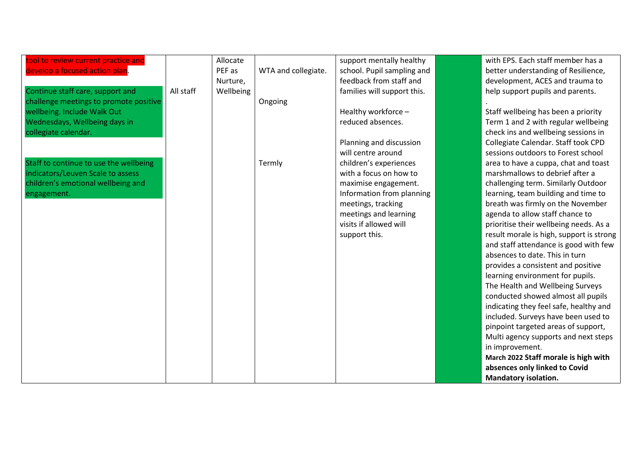| tool to review current practice and    |           | Allocate  |                     | support mentally healthy    | with EPS. Each staff member has a        |
|----------------------------------------|-----------|-----------|---------------------|-----------------------------|------------------------------------------|
| develop a focused action plan.         |           | PEF as    | WTA and collegiate. | school. Pupil sampling and  | better understanding of Resilience,      |
|                                        |           | Nurture,  |                     | feedback from staff and     | development, ACES and trauma to          |
| Continue staff care, support and       | All staff | Wellbeing |                     | families will support this. | help support pupils and parents.         |
| challenge meetings to promote positive |           |           | Ongoing             |                             |                                          |
| wellbeing. Include Walk Out            |           |           |                     | Healthy workforce -         | Staff wellbeing has been a priority      |
| Wednesdays, Wellbeing days in          |           |           |                     | reduced absences.           | Term 1 and 2 with regular wellbeing      |
| collegiate calendar.                   |           |           |                     |                             | check ins and wellbeing sessions in      |
|                                        |           |           |                     | Planning and discussion     | Collegiate Calendar. Staff took CPD      |
|                                        |           |           |                     | will centre around          | sessions outdoors to Forest school       |
| Staff to continue to use the wellbeing |           |           | Termly              | children's experiences      | area to have a cuppa, chat and toast     |
| indicators/Leuven Scale to assess      |           |           |                     | with a focus on how to      | marshmallows to debrief after a          |
| children's emotional wellbeing and     |           |           |                     | maximise engagement.        | challenging term. Similarly Outdoor      |
| engagement.                            |           |           |                     | Information from planning   | learning, team building and time to      |
|                                        |           |           |                     | meetings, tracking          | breath was firmly on the November        |
|                                        |           |           |                     | meetings and learning       | agenda to allow staff chance to          |
|                                        |           |           |                     | visits if allowed will      | prioritise their wellbeing needs. As a   |
|                                        |           |           |                     | support this.               | result morale is high, support is strong |
|                                        |           |           |                     |                             | and staff attendance is good with few    |
|                                        |           |           |                     |                             | absences to date. This in turn           |
|                                        |           |           |                     |                             | provides a consistent and positive       |
|                                        |           |           |                     |                             | learning environment for pupils.         |
|                                        |           |           |                     |                             | The Health and Wellbeing Surveys         |
|                                        |           |           |                     |                             | conducted showed almost all pupils       |
|                                        |           |           |                     |                             | indicating they feel safe, healthy and   |
|                                        |           |           |                     |                             | included. Surveys have been used to      |
|                                        |           |           |                     |                             | pinpoint targeted areas of support,      |
|                                        |           |           |                     |                             | Multi agency supports and next steps     |
|                                        |           |           |                     |                             | in improvement.                          |
|                                        |           |           |                     |                             | March 2022 Staff morale is high with     |
|                                        |           |           |                     |                             | absences only linked to Covid            |
|                                        |           |           |                     |                             | <b>Mandatory isolation.</b>              |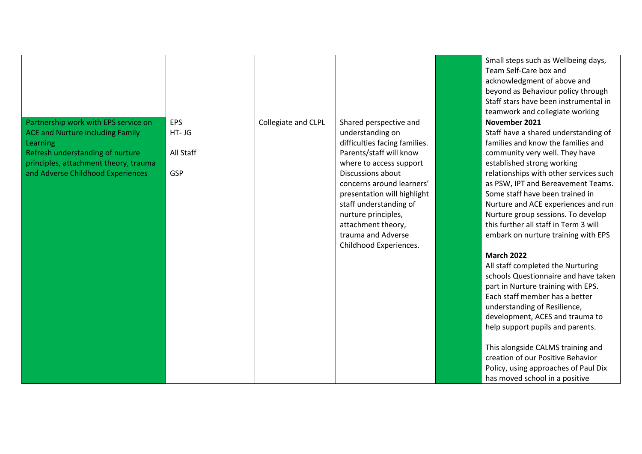|                                                                                                                                                                                                               |                                             |                     |                                                                                                                                                                                                                                                                                                                                           | Small steps such as Wellbeing days,<br>Team Self-Care box and<br>acknowledgment of above and<br>beyond as Behaviour policy through<br>Staff stars have been instrumental in<br>teamwork and collegiate working                                                                                                                                                                                                                                                                                                                                                                                                                                                                                                                                                                                                                                                                   |
|---------------------------------------------------------------------------------------------------------------------------------------------------------------------------------------------------------------|---------------------------------------------|---------------------|-------------------------------------------------------------------------------------------------------------------------------------------------------------------------------------------------------------------------------------------------------------------------------------------------------------------------------------------|----------------------------------------------------------------------------------------------------------------------------------------------------------------------------------------------------------------------------------------------------------------------------------------------------------------------------------------------------------------------------------------------------------------------------------------------------------------------------------------------------------------------------------------------------------------------------------------------------------------------------------------------------------------------------------------------------------------------------------------------------------------------------------------------------------------------------------------------------------------------------------|
| Partnership work with EPS service on<br><b>ACE and Nurture including Family</b><br>Learning<br>Refresh understanding of nurture<br>principles, attachment theory, trauma<br>and Adverse Childhood Experiences | <b>EPS</b><br>$HT - JG$<br>All Staff<br>GSP | Collegiate and CLPL | Shared perspective and<br>understanding on<br>difficulties facing families.<br>Parents/staff will know<br>where to access support<br>Discussions about<br>concerns around learners'<br>presentation will highlight<br>staff understanding of<br>nurture principles,<br>attachment theory,<br>trauma and Adverse<br>Childhood Experiences. | November 2021<br>Staff have a shared understanding of<br>families and know the families and<br>community very well. They have<br>established strong working<br>relationships with other services such<br>as PSW, IPT and Bereavement Teams.<br>Some staff have been trained in<br>Nurture and ACE experiences and run<br>Nurture group sessions. To develop<br>this further all staff in Term 3 will<br>embark on nurture training with EPS<br><b>March 2022</b><br>All staff completed the Nurturing<br>schools Questionnaire and have taken<br>part in Nurture training with EPS.<br>Each staff member has a better<br>understanding of Resilience,<br>development, ACES and trauma to<br>help support pupils and parents.<br>This alongside CALMS training and<br>creation of our Positive Behavior<br>Policy, using approaches of Paul Dix<br>has moved school in a positive |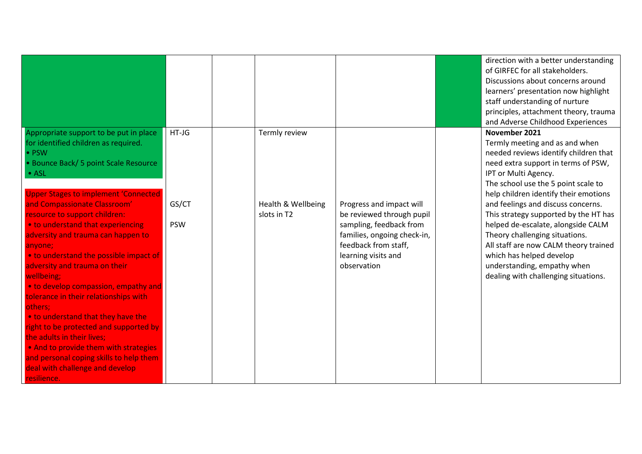|                                                                                                                                                                                                                                                                                                                                                                                                                                                                                                                                                                                                                                                                                                                                                                                           |                                |                                                    |                                                                                                                                                                               | direction with a better understanding<br>of GIRFEC for all stakeholders.<br>Discussions about concerns around<br>learners' presentation now highlight<br>staff understanding of nurture<br>principles, attachment theory, trauma                                                                                                                                                                                                                                                                                                                                                |
|-------------------------------------------------------------------------------------------------------------------------------------------------------------------------------------------------------------------------------------------------------------------------------------------------------------------------------------------------------------------------------------------------------------------------------------------------------------------------------------------------------------------------------------------------------------------------------------------------------------------------------------------------------------------------------------------------------------------------------------------------------------------------------------------|--------------------------------|----------------------------------------------------|-------------------------------------------------------------------------------------------------------------------------------------------------------------------------------|---------------------------------------------------------------------------------------------------------------------------------------------------------------------------------------------------------------------------------------------------------------------------------------------------------------------------------------------------------------------------------------------------------------------------------------------------------------------------------------------------------------------------------------------------------------------------------|
| Appropriate support to be put in place<br>for identified children as required.<br>• PSW<br>• Bounce Back/ 5 point Scale Resource<br>• ASL<br><b>Upper Stages to implement 'Connected'</b><br>and Compassionate Classroom'<br>resource to support children:<br>. to understand that experiencing<br>adversity and trauma can happen to<br>anyone;<br>. to understand the possible impact of<br>adversity and trauma on their<br>wellbeing;<br>. to develop compassion, empathy and<br>tolerance in their relationships with<br>others;<br>. to understand that they have the<br>right to be protected and supported by<br>the adults in their lives;<br>• And to provide them with strategies<br>and personal coping skills to help them<br>deal with challenge and develop<br>resilience. | $HT-JG$<br>GS/CT<br><b>PSW</b> | Termly review<br>Health & Wellbeing<br>slots in T2 | Progress and impact will<br>be reviewed through pupil<br>sampling, feedback from<br>families, ongoing check-in,<br>feedback from staff,<br>learning visits and<br>observation | and Adverse Childhood Experiences<br>November 2021<br>Termly meeting and as and when<br>needed reviews identify children that<br>need extra support in terms of PSW,<br>IPT or Multi Agency.<br>The school use the 5 point scale to<br>help children identify their emotions<br>and feelings and discuss concerns.<br>This strategy supported by the HT has<br>helped de-escalate, alongside CALM<br>Theory challenging situations.<br>All staff are now CALM theory trained<br>which has helped develop<br>understanding, empathy when<br>dealing with challenging situations. |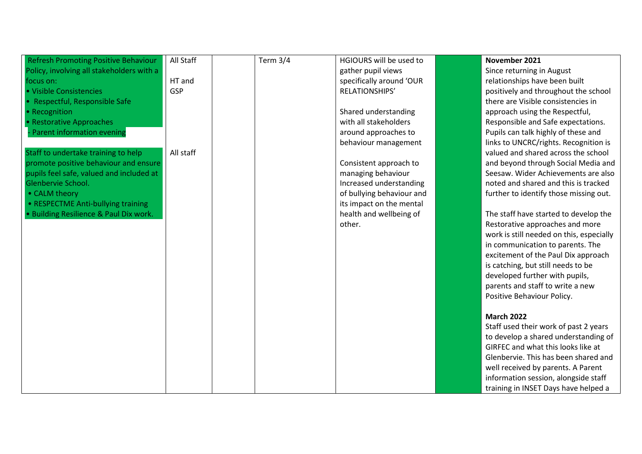| <b>Refresh Promoting Positive Behaviour</b> | All Staff | <b>Term 3/4</b> | HGIOURS will be used to   | November 2021                            |
|---------------------------------------------|-----------|-----------------|---------------------------|------------------------------------------|
| Policy, involving all stakeholders with a   |           |                 | gather pupil views        | Since returning in August                |
| focus on:                                   | HT and    |                 | specifically around 'OUR  | relationships have been built            |
| · Visible Consistencies                     | GSP       |                 | RELATIONSHIPS'            | positively and throughout the school     |
| • Respectful, Responsible Safe              |           |                 |                           | there are Visible consistencies in       |
| • Recognition                               |           |                 | Shared understanding      | approach using the Respectful,           |
| • Restorative Approaches                    |           |                 | with all stakeholders     | Responsible and Safe expectations.       |
| Parent information evening                  |           |                 | around approaches to      | Pupils can talk highly of these and      |
|                                             |           |                 | behaviour management      | links to UNCRC/rights. Recognition is    |
| Staff to undertake training to help         | All staff |                 |                           | valued and shared across the school      |
| promote positive behaviour and ensure       |           |                 | Consistent approach to    | and beyond through Social Media and      |
| pupils feel safe, valued and included at    |           |                 | managing behaviour        | Seesaw. Wider Achievements are also      |
| Glenbervie School.                          |           |                 | Increased understanding   | noted and shared and this is tracked     |
| • CALM theory                               |           |                 | of bullying behaviour and | further to identify those missing out.   |
| • RESPECTME Anti-bullying training          |           |                 | its impact on the mental  |                                          |
| · Building Resilience & Paul Dix work.      |           |                 | health and wellbeing of   | The staff have started to develop the    |
|                                             |           |                 | other.                    | Restorative approaches and more          |
|                                             |           |                 |                           | work is still needed on this, especially |
|                                             |           |                 |                           | in communication to parents. The         |
|                                             |           |                 |                           | excitement of the Paul Dix approach      |
|                                             |           |                 |                           | is catching, but still needs to be       |
|                                             |           |                 |                           | developed further with pupils,           |
|                                             |           |                 |                           | parents and staff to write a new         |
|                                             |           |                 |                           | Positive Behaviour Policy.               |
|                                             |           |                 |                           |                                          |
|                                             |           |                 |                           | <b>March 2022</b>                        |
|                                             |           |                 |                           | Staff used their work of past 2 years    |
|                                             |           |                 |                           | to develop a shared understanding of     |
|                                             |           |                 |                           | GIRFEC and what this looks like at       |
|                                             |           |                 |                           | Glenbervie. This has been shared and     |
|                                             |           |                 |                           | well received by parents. A Parent       |
|                                             |           |                 |                           | information session, alongside staff     |
|                                             |           |                 |                           | training in INSET Days have helped a     |